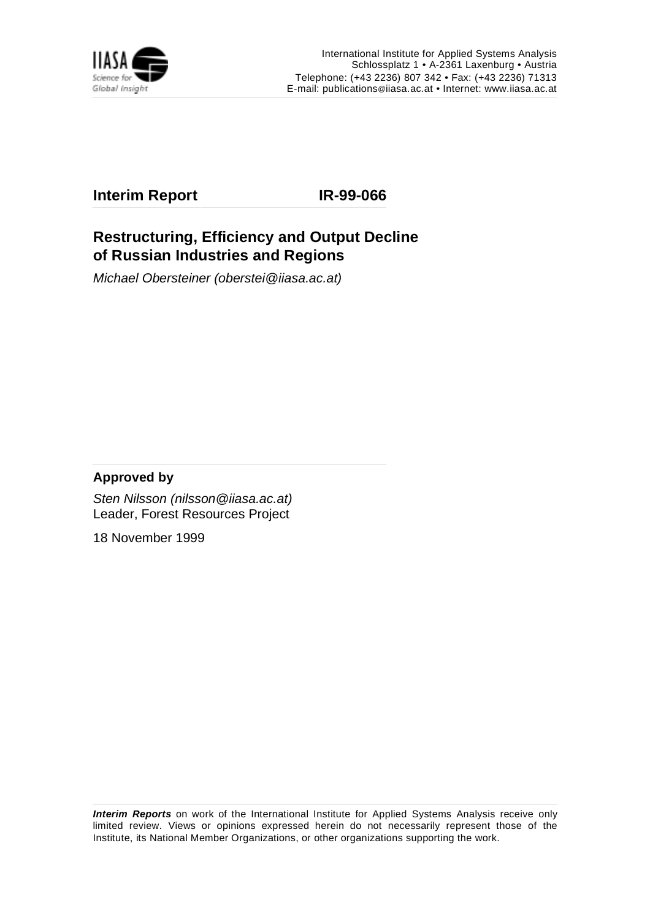

# **Interim Report IR-99-066**

# **Restructuring, Efficiency and Output Decline of Russian Industries and Regions**

Michael Obersteiner (oberstei@iiasa.ac.at)

### **Approved by**

Sten Nilsson (nilsson@iiasa.ac.at) Leader, Forest Resources Project

18 November 1999

**Interim Reports** on work of the International Institute for Applied Systems Analysis receive only limited review. Views or opinions expressed herein do not necessarily represent those of the Institute, its National Member Organizations, or other organizations supporting the work.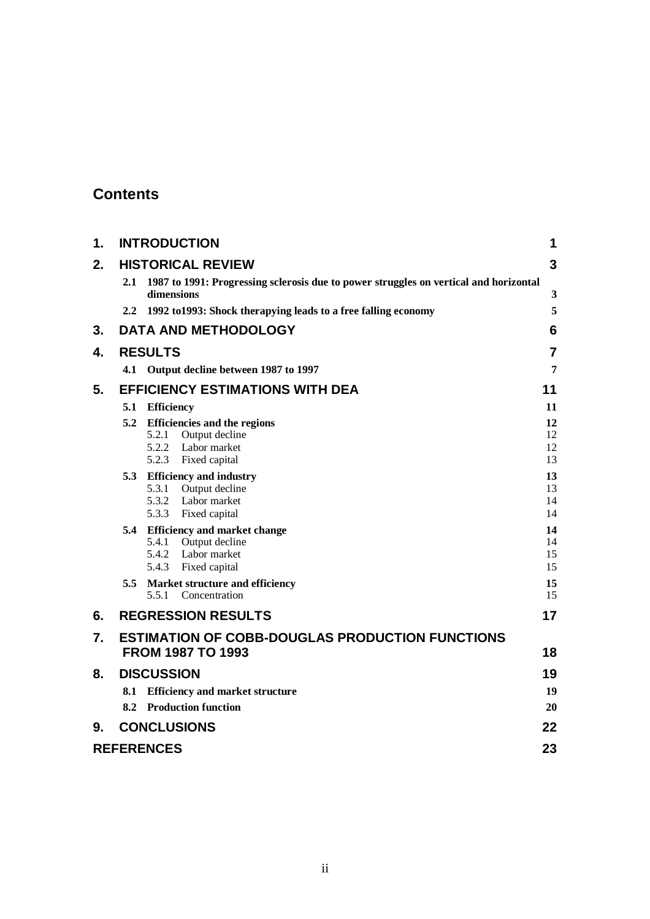# **Contents**

| $\mathbf 1$ . |     | <b>INTRODUCTION</b>                                                                                            | 1                    |
|---------------|-----|----------------------------------------------------------------------------------------------------------------|----------------------|
| 2.            |     | <b>HISTORICAL REVIEW</b>                                                                                       | 3                    |
|               | 2.1 | 1987 to 1991: Progressing sclerosis due to power struggles on vertical and horizontal<br>dimensions            | 3                    |
|               |     | 2.2 1992 to 1993: Shock therapying leads to a free falling economy                                             | 5                    |
| 3.            |     | <b>DATA AND METHODOLOGY</b>                                                                                    | 6                    |
| 4.            |     | <b>RESULTS</b>                                                                                                 | $\overline{7}$       |
|               |     | 4.1 Output decline between 1987 to 1997                                                                        | 7                    |
| 5.            |     | <b>EFFICIENCY ESTIMATIONS WITH DEA</b>                                                                         | 11                   |
|               | 5.1 | <b>Efficiency</b>                                                                                              | 11                   |
|               | 5.2 | <b>Efficiencies and the regions</b><br>Output decline<br>5.2.1<br>Labor market<br>5.2.2                        | 12<br>12<br>12       |
|               |     | 5.2.3 Fixed capital                                                                                            | 13                   |
|               |     | 5.3 Efficiency and industry<br>5.3.1 Output decline<br>5.3.2 Labor market<br>5.3.3<br>Fixed capital            | 13<br>13<br>14<br>14 |
|               |     | 5.4 Efficiency and market change<br>Output decline<br>5.4.1<br>5.4.2<br>Labor market<br>5.4.3<br>Fixed capital | 14<br>14<br>15<br>15 |
|               | 5.5 | Market structure and efficiency<br>5.5.1 Concentration                                                         | 15<br>15             |
| 6.            |     | <b>REGRESSION RESULTS</b>                                                                                      | 17                   |
| 7.            |     | <b>ESTIMATION OF COBB-DOUGLAS PRODUCTION FUNCTIONS</b><br><b>FROM 1987 TO 1993</b>                             | 18                   |
| 8.            |     | <b>DISCUSSION</b>                                                                                              | 19                   |
|               |     | 8.1 Efficiency and market structure                                                                            | 19                   |
|               |     | 8.2 Production function                                                                                        | 20                   |
| 9.            |     | <b>CONCLUSIONS</b>                                                                                             | 22                   |
|               |     | <b>REFERENCES</b>                                                                                              | 23                   |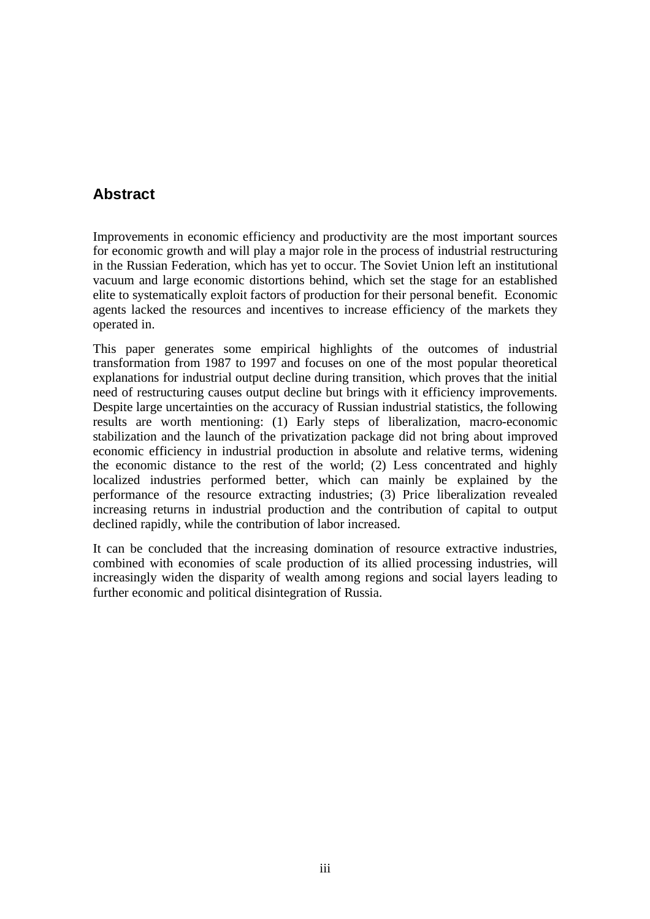# **Abstract**

Improvements in economic efficiency and productivity are the most important sources for economic growth and will play a major role in the process of industrial restructuring in the Russian Federation, which has yet to occur. The Soviet Union left an institutional vacuum and large economic distortions behind, which set the stage for an established elite to systematically exploit factors of production for their personal benefit. Economic agents lacked the resources and incentives to increase efficiency of the markets they operated in.

This paper generates some empirical highlights of the outcomes of industrial transformation from 1987 to 1997 and focuses on one of the most popular theoretical explanations for industrial output decline during transition, which proves that the initial need of restructuring causes output decline but brings with it efficiency improvements. Despite large uncertainties on the accuracy of Russian industrial statistics, the following results are worth mentioning: (1) Early steps of liberalization, macro-economic stabilization and the launch of the privatization package did not bring about improved economic efficiency in industrial production in absolute and relative terms, widening the economic distance to the rest of the world; (2) Less concentrated and highly localized industries performed better, which can mainly be explained by the performance of the resource extracting industries; (3) Price liberalization revealed increasing returns in industrial production and the contribution of capital to output declined rapidly, while the contribution of labor increased.

It can be concluded that the increasing domination of resource extractive industries, combined with economies of scale production of its allied processing industries, will increasingly widen the disparity of wealth among regions and social layers leading to further economic and political disintegration of Russia.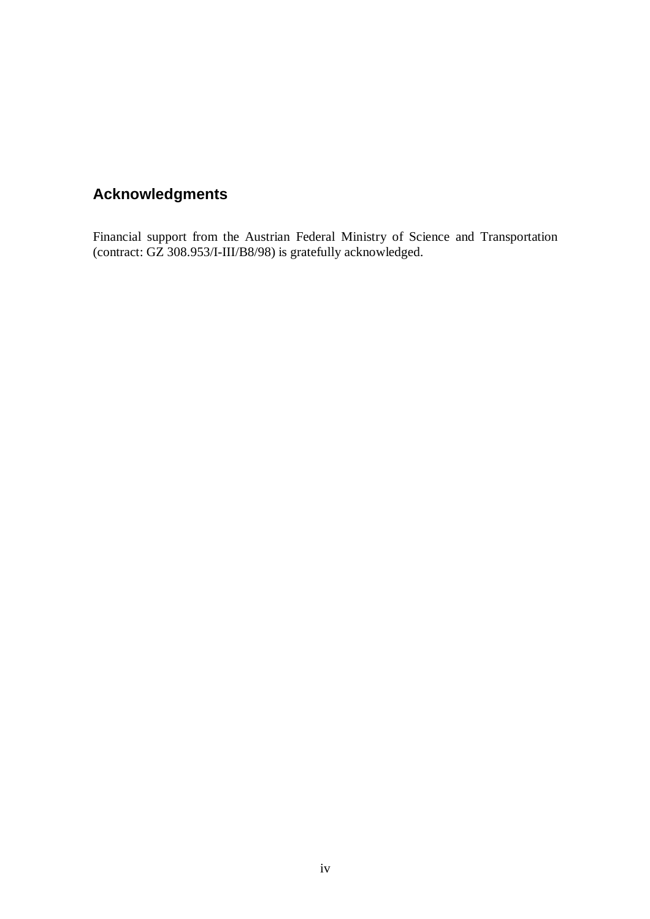# **Acknowledgments**

Financial support from the Austrian Federal Ministry of Science and Transportation (contract: GZ 308.953/I-III/B8/98) is gratefully acknowledged.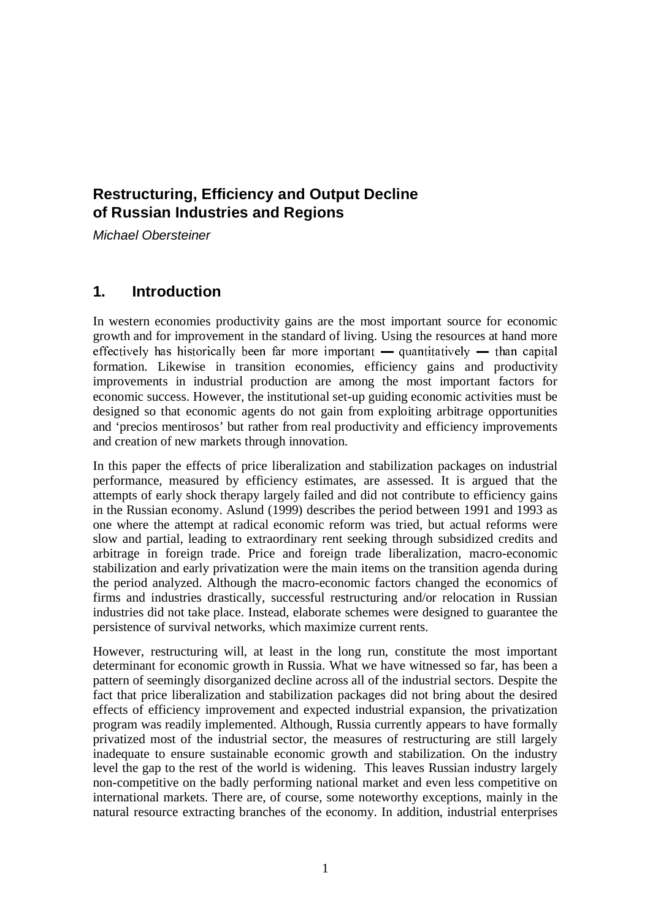# **Restructuring, Efficiency and Output Decline of Russian Industries and Regions**

Michael Obersteiner

# **1. Introduction**

In western economies productivity gains are the most important source for economic growth and for improvement in the standard of living. Using the resources at hand more effectively has historically been far more important — quantitatively — than capital formation. Likewise in transition economies, efficiency gains and productivity improvements in industrial production are among the most important factors for economic success. However, the institutional set-up guiding economic activities must be designed so that economic agents do not gain from exploiting arbitrage opportunities and 'precios mentirosos' but rather from real productivity and efficiency improvements and creation of new markets through innovation.

In this paper the effects of price liberalization and stabilization packages on industrial performance, measured by efficiency estimates, are assessed. It is argued that the attempts of early shock therapy largely failed and did not contribute to efficiency gains in the Russian economy. Aslund (1999) describes the period between 1991 and 1993 as one where the attempt at radical economic reform was tried, but actual reforms were slow and partial, leading to extraordinary rent seeking through subsidized credits and arbitrage in foreign trade. Price and foreign trade liberalization, macro-economic stabilization and early privatization were the main items on the transition agenda during the period analyzed. Although the macro-economic factors changed the economics of firms and industries drastically, successful restructuring and/or relocation in Russian industries did not take place. Instead, elaborate schemes were designed to guarantee the persistence of survival networks, which maximize current rents.

However, restructuring will, at least in the long run, constitute the most important determinant for economic growth in Russia. What we have witnessed so far, has been a pattern of seemingly disorganized decline across all of the industrial sectors. Despite the fact that price liberalization and stabilization packages did not bring about the desired effects of efficiency improvement and expected industrial expansion, the privatization program was readily implemented. Although, Russia currently appears to have formally privatized most of the industrial sector, the measures of restructuring are still largely inadequate to ensure sustainable economic growth and stabilization. On the industry level the gap to the rest of the world is widening. This leaves Russian industry largely non-competitive on the badly performing national market and even less competitive on international markets. There are, of course, some noteworthy exceptions, mainly in the natural resource extracting branches of the economy. In addition, industrial enterprises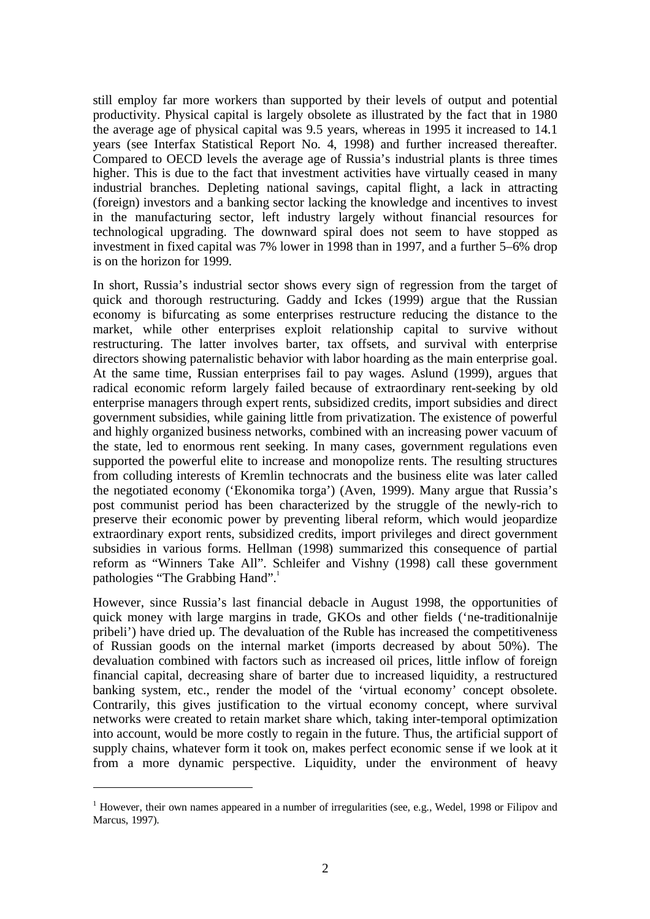still employ far more workers than supported by their levels of output and potential productivity. Physical capital is largely obsolete as illustrated by the fact that in 1980 the average age of physical capital was 9.5 years, whereas in 1995 it increased to 14.1 years (see Interfax Statistical Report No. 4, 1998) and further increased thereafter. Compared to OECD levels the average age of Russia's industrial plants is three times higher. This is due to the fact that investment activities have virtually ceased in many industrial branches. Depleting national savings, capital flight, a lack in attracting (foreign) investors and a banking sector lacking the knowledge and incentives to invest in the manufacturing sector, left industry largely without financial resources for technological upgrading. The downward spiral does not seem to have stopped as investment in fixed capital was 7% lower in 1998 than in 1997, and a further 5–6% drop is on the horizon for 1999.

In short, Russia's industrial sector shows every sign of regression from the target of quick and thorough restructuring. Gaddy and Ickes (1999) argue that the Russian economy is bifurcating as some enterprises restructure reducing the distance to the market, while other enterprises exploit relationship capital to survive without restructuring. The latter involves barter, tax offsets, and survival with enterprise directors showing paternalistic behavior with labor hoarding as the main enterprise goal. At the same time, Russian enterprises fail to pay wages. Aslund (1999), argues that radical economic reform largely failed because of extraordinary rent-seeking by old enterprise managers through expert rents, subsidized credits, import subsidies and direct government subsidies, while gaining little from privatization. The existence of powerful and highly organized business networks, combined with an increasing power vacuum of the state, led to enormous rent seeking. In many cases, government regulations even supported the powerful elite to increase and monopolize rents. The resulting structures from colluding interests of Kremlin technocrats and the business elite was later called the negotiated economy ('Ekonomika torga') (Aven, 1999). Many argue that Russia's post communist period has been characterized by the struggle of the newly-rich to preserve their economic power by preventing liberal reform, which would jeopardize extraordinary export rents, subsidized credits, import privileges and direct government subsidies in various forms. Hellman (1998) summarized this consequence of partial reform as "Winners Take All". Schleifer and Vishny (1998) call these government pathologies "The Grabbing Hand".<sup>1</sup>

However, since Russia's last financial debacle in August 1998, the opportunities of quick money with large margins in trade, GKOs and other fields ('ne-traditionalnije pribeli') have dried up. The devaluation of the Ruble has increased the competitiveness of Russian goods on the internal market (imports decreased by about 50%). The devaluation combined with factors such as increased oil prices, little inflow of foreign financial capital, decreasing share of barter due to increased liquidity, a restructured banking system, etc., render the model of the 'virtual economy' concept obsolete. Contrarily, this gives justification to the virtual economy concept, where survival networks were created to retain market share which, taking inter-temporal optimization into account, would be more costly to regain in the future. Thus, the artificial support of supply chains, whatever form it took on, makes perfect economic sense if we look at it from a more dynamic perspective. Liquidity, under the environment of heavy

 $\overline{a}$ 

<sup>&</sup>lt;sup>1</sup> However, their own names appeared in a number of irregularities (see, e.g., Wedel, 1998 or Filipov and Marcus, 1997).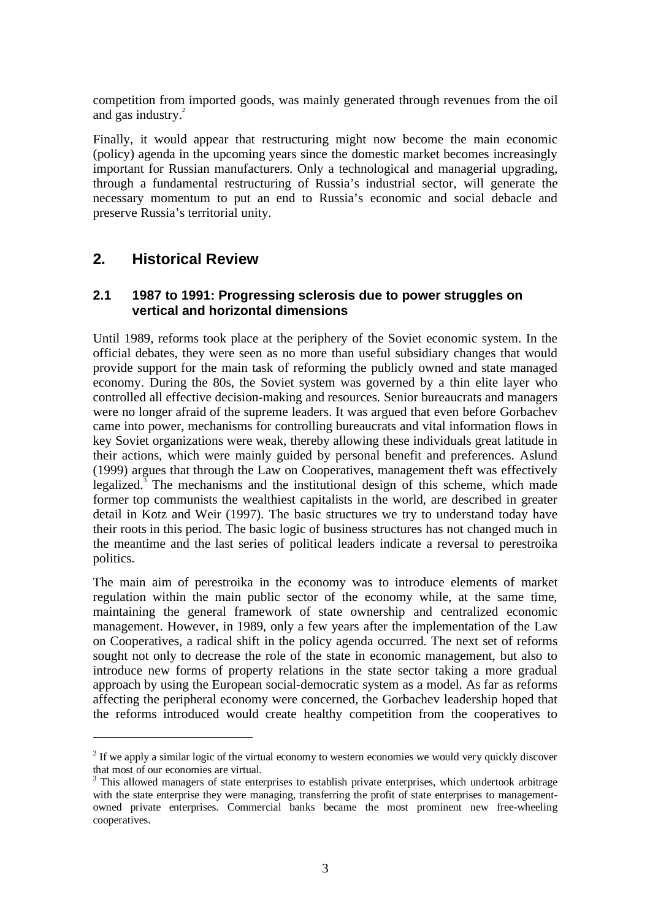competition from imported goods, was mainly generated through revenues from the oil and gas industry.<sup>2</sup>

Finally, it would appear that restructuring might now become the main economic (policy) agenda in the upcoming years since the domestic market becomes increasingly important for Russian manufacturers. Only a technological and managerial upgrading, through a fundamental restructuring of Russia's industrial sector, will generate the necessary momentum to put an end to Russia's economic and social debacle and preserve Russia's territorial unity.

# **2. Historical Review**

 $\overline{a}$ 

#### **2.1 1987 to 1991: Progressing sclerosis due to power struggles on vertical and horizontal dimensions**

Until 1989, reforms took place at the periphery of the Soviet economic system. In the official debates, they were seen as no more than useful subsidiary changes that would provide support for the main task of reforming the publicly owned and state managed economy. During the 80s, the Soviet system was governed by a thin elite layer who controlled all effective decision-making and resources. Senior bureaucrats and managers were no longer afraid of the supreme leaders. It was argued that even before Gorbachev came into power, mechanisms for controlling bureaucrats and vital information flows in key Soviet organizations were weak, thereby allowing these individuals great latitude in their actions, which were mainly guided by personal benefit and preferences. Aslund (1999) argues that through the Law on Cooperatives, management theft was effectively legalized.<sup>3</sup> The mechanisms and the institutional design of this scheme, which made former top communists the wealthiest capitalists in the world, are described in greater detail in Kotz and Weir (1997). The basic structures we try to understand today have their roots in this period. The basic logic of business structures has not changed much in the meantime and the last series of political leaders indicate a reversal to perestroika politics.

The main aim of perestroika in the economy was to introduce elements of market regulation within the main public sector of the economy while, at the same time, maintaining the general framework of state ownership and centralized economic management. However, in 1989, only a few years after the implementation of the Law on Cooperatives, a radical shift in the policy agenda occurred. The next set of reforms sought not only to decrease the role of the state in economic management, but also to introduce new forms of property relations in the state sector taking a more gradual approach by using the European social-democratic system as a model. As far as reforms affecting the peripheral economy were concerned, the Gorbachev leadership hoped that the reforms introduced would create healthy competition from the cooperatives to

 $2$  If we apply a similar logic of the virtual economy to western economies we would very quickly discover that most of our economies are virtual.

<sup>&</sup>lt;sup>3</sup> This allowed managers of state enterprises to establish private enterprises, which undertook arbitrage with the state enterprise they were managing, transferring the profit of state enterprises to managementowned private enterprises. Commercial banks became the most prominent new free-wheeling cooperatives.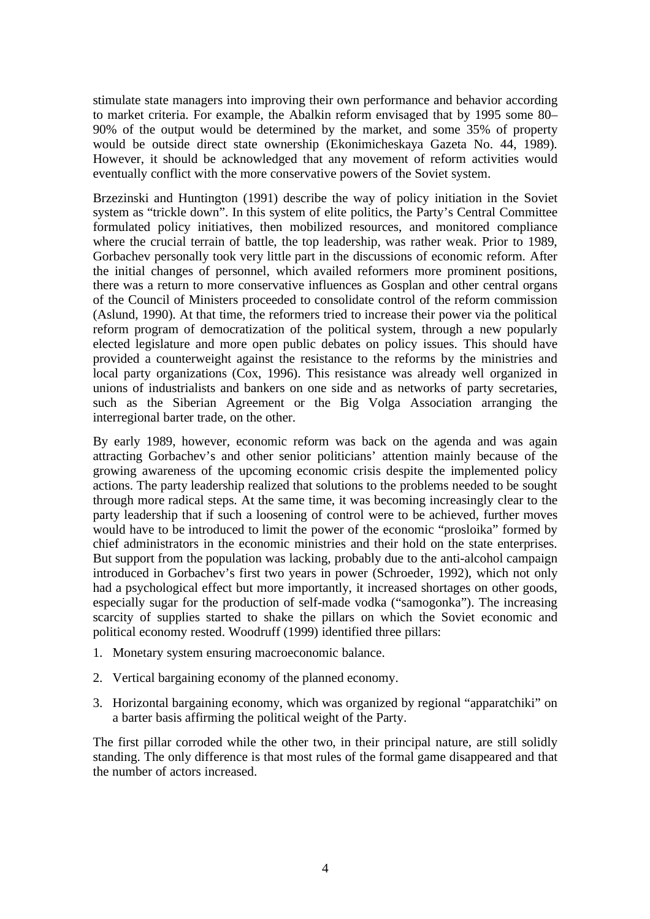stimulate state managers into improving their own performance and behavior according to market criteria. For example, the Abalkin reform envisaged that by 1995 some 80– 90% of the output would be determined by the market, and some 35% of property would be outside direct state ownership (Ekonimicheskaya Gazeta No. 44, 1989). However, it should be acknowledged that any movement of reform activities would eventually conflict with the more conservative powers of the Soviet system.

Brzezinski and Huntington (1991) describe the way of policy initiation in the Soviet system as "trickle down". In this system of elite politics, the Party's Central Committee formulated policy initiatives, then mobilized resources, and monitored compliance where the crucial terrain of battle, the top leadership, was rather weak. Prior to 1989, Gorbachev personally took very little part in the discussions of economic reform. After the initial changes of personnel, which availed reformers more prominent positions, there was a return to more conservative influences as Gosplan and other central organs of the Council of Ministers proceeded to consolidate control of the reform commission (Aslund, 1990). At that time, the reformers tried to increase their power via the political reform program of democratization of the political system, through a new popularly elected legislature and more open public debates on policy issues. This should have provided a counterweight against the resistance to the reforms by the ministries and local party organizations (Cox, 1996). This resistance was already well organized in unions of industrialists and bankers on one side and as networks of party secretaries, such as the Siberian Agreement or the Big Volga Association arranging the interregional barter trade, on the other.

By early 1989, however, economic reform was back on the agenda and was again attracting Gorbachev's and other senior politicians' attention mainly because of the growing awareness of the upcoming economic crisis despite the implemented policy actions. The party leadership realized that solutions to the problems needed to be sought through more radical steps. At the same time, it was becoming increasingly clear to the party leadership that if such a loosening of control were to be achieved, further moves would have to be introduced to limit the power of the economic "prosloika" formed by chief administrators in the economic ministries and their hold on the state enterprises. But support from the population was lacking, probably due to the anti-alcohol campaign introduced in Gorbachev's first two years in power (Schroeder, 1992), which not only had a psychological effect but more importantly, it increased shortages on other goods, especially sugar for the production of self-made vodka ("samogonka"). The increasing scarcity of supplies started to shake the pillars on which the Soviet economic and political economy rested. Woodruff (1999) identified three pillars:

- 1. Monetary system ensuring macroeconomic balance.
- 2. Vertical bargaining economy of the planned economy.
- 3. Horizontal bargaining economy, which was organized by regional "apparatchiki" on a barter basis affirming the political weight of the Party.

The first pillar corroded while the other two, in their principal nature, are still solidly standing. The only difference is that most rules of the formal game disappeared and that the number of actors increased.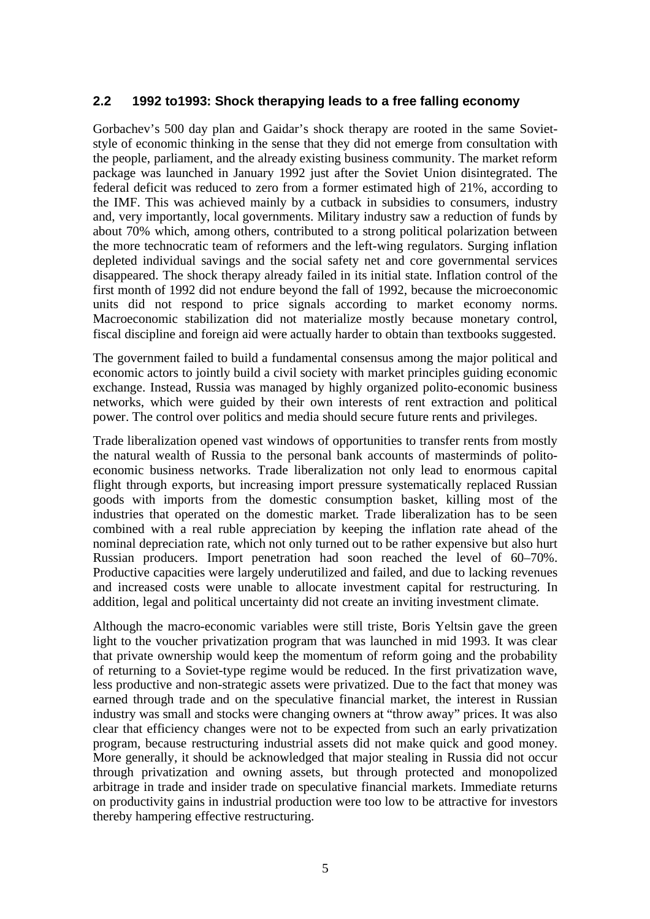### **2.2 1992 to1993: Shock therapying leads to a free falling economy**

Gorbachev's 500 day plan and Gaidar's shock therapy are rooted in the same Sovietstyle of economic thinking in the sense that they did not emerge from consultation with the people, parliament, and the already existing business community. The market reform package was launched in January 1992 just after the Soviet Union disintegrated. The federal deficit was reduced to zero from a former estimated high of 21%, according to the IMF. This was achieved mainly by a cutback in subsidies to consumers, industry and, very importantly, local governments. Military industry saw a reduction of funds by about 70% which, among others, contributed to a strong political polarization between the more technocratic team of reformers and the left-wing regulators. Surging inflation depleted individual savings and the social safety net and core governmental services disappeared. The shock therapy already failed in its initial state. Inflation control of the first month of 1992 did not endure beyond the fall of 1992, because the microeconomic units did not respond to price signals according to market economy norms. Macroeconomic stabilization did not materialize mostly because monetary control, fiscal discipline and foreign aid were actually harder to obtain than textbooks suggested.

The government failed to build a fundamental consensus among the major political and economic actors to jointly build a civil society with market principles guiding economic exchange. Instead, Russia was managed by highly organized polito-economic business networks, which were guided by their own interests of rent extraction and political power. The control over politics and media should secure future rents and privileges.

Trade liberalization opened vast windows of opportunities to transfer rents from mostly the natural wealth of Russia to the personal bank accounts of masterminds of politoeconomic business networks. Trade liberalization not only lead to enormous capital flight through exports, but increasing import pressure systematically replaced Russian goods with imports from the domestic consumption basket, killing most of the industries that operated on the domestic market. Trade liberalization has to be seen combined with a real ruble appreciation by keeping the inflation rate ahead of the nominal depreciation rate, which not only turned out to be rather expensive but also hurt Russian producers. Import penetration had soon reached the level of 60–70%. Productive capacities were largely underutilized and failed, and due to lacking revenues and increased costs were unable to allocate investment capital for restructuring. In addition, legal and political uncertainty did not create an inviting investment climate.

Although the macro-economic variables were still triste, Boris Yeltsin gave the green light to the voucher privatization program that was launched in mid 1993. It was clear that private ownership would keep the momentum of reform going and the probability of returning to a Soviet-type regime would be reduced. In the first privatization wave, less productive and non-strategic assets were privatized. Due to the fact that money was earned through trade and on the speculative financial market, the interest in Russian industry was small and stocks were changing owners at "throw away" prices. It was also clear that efficiency changes were not to be expected from such an early privatization program, because restructuring industrial assets did not make quick and good money. More generally, it should be acknowledged that major stealing in Russia did not occur through privatization and owning assets, but through protected and monopolized arbitrage in trade and insider trade on speculative financial markets. Immediate returns on productivity gains in industrial production were too low to be attractive for investors thereby hampering effective restructuring.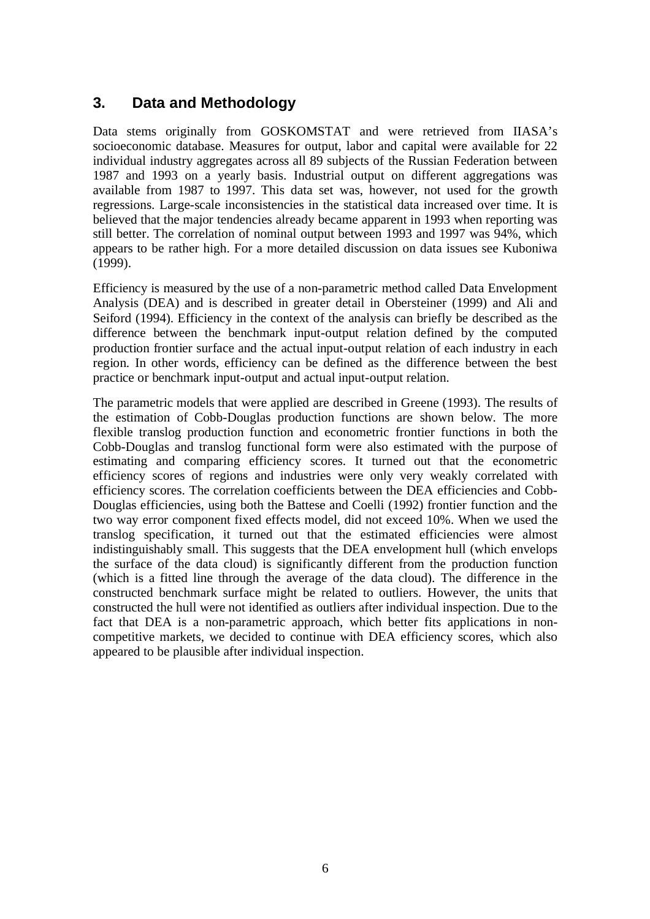# **3. Data and Methodology**

Data stems originally from GOSKOMSTAT and were retrieved from IIASA's socioeconomic database. Measures for output, labor and capital were available for 22 individual industry aggregates across all 89 subjects of the Russian Federation between 1987 and 1993 on a yearly basis. Industrial output on different aggregations was available from 1987 to 1997. This data set was, however, not used for the growth regressions. Large-scale inconsistencies in the statistical data increased over time. It is believed that the major tendencies already became apparent in 1993 when reporting was still better. The correlation of nominal output between 1993 and 1997 was 94%, which appears to be rather high. For a more detailed discussion on data issues see Kuboniwa (1999).

Efficiency is measured by the use of a non-parametric method called Data Envelopment Analysis (DEA) and is described in greater detail in Obersteiner (1999) and Ali and Seiford (1994). Efficiency in the context of the analysis can briefly be described as the difference between the benchmark input-output relation defined by the computed production frontier surface and the actual input-output relation of each industry in each region. In other words, efficiency can be defined as the difference between the best practice or benchmark input-output and actual input-output relation.

The parametric models that were applied are described in Greene (1993). The results of the estimation of Cobb-Douglas production functions are shown below. The more flexible translog production function and econometric frontier functions in both the Cobb-Douglas and translog functional form were also estimated with the purpose of estimating and comparing efficiency scores. It turned out that the econometric efficiency scores of regions and industries were only very weakly correlated with efficiency scores. The correlation coefficients between the DEA efficiencies and Cobb-Douglas efficiencies, using both the Battese and Coelli (1992) frontier function and the two way error component fixed effects model, did not exceed 10%. When we used the translog specification, it turned out that the estimated efficiencies were almost indistinguishably small. This suggests that the DEA envelopment hull (which envelops the surface of the data cloud) is significantly different from the production function (which is a fitted line through the average of the data cloud). The difference in the constructed benchmark surface might be related to outliers. However, the units that constructed the hull were not identified as outliers after individual inspection. Due to the fact that DEA is a non-parametric approach, which better fits applications in noncompetitive markets, we decided to continue with DEA efficiency scores, which also appeared to be plausible after individual inspection.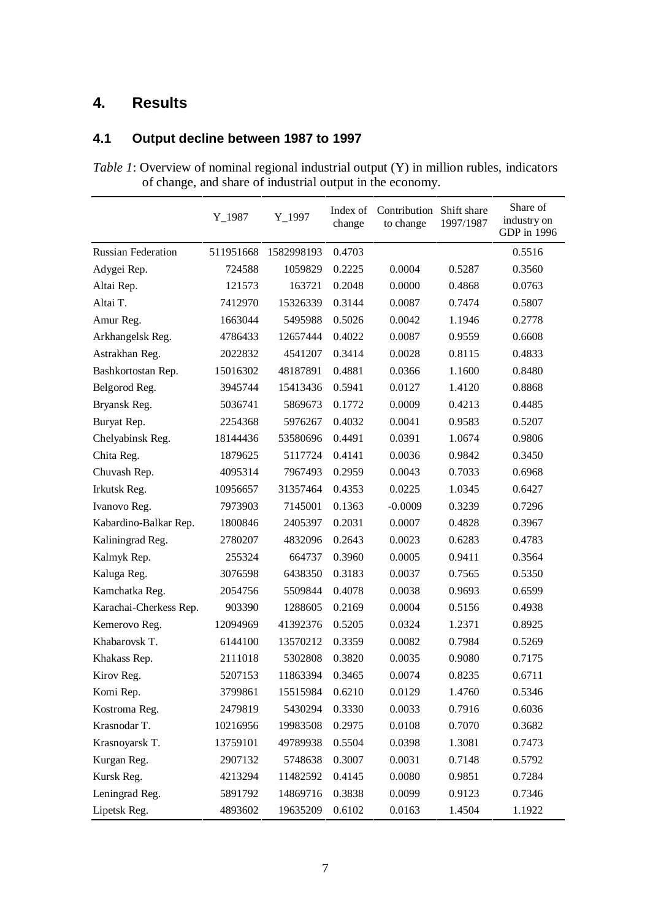# **4. Results**

### **4.1 Output decline between 1987 to 1997**

*Table 1*: Overview of nominal regional industrial output (Y) in million rubles, indicators of change, and share of industrial output in the economy.

|                           | $Y_1987$  | $Y_1997$   | Index of<br>change | Contribution Shift share<br>to change | 1997/1987 | Share of<br>industry on<br>GDP in 1996 |
|---------------------------|-----------|------------|--------------------|---------------------------------------|-----------|----------------------------------------|
| <b>Russian Federation</b> | 511951668 | 1582998193 | 0.4703             |                                       |           | 0.5516                                 |
| Adygei Rep.               | 724588    | 1059829    | 0.2225             | 0.0004                                | 0.5287    | 0.3560                                 |
| Altai Rep.                | 121573    | 163721     | 0.2048             | 0.0000                                | 0.4868    | 0.0763                                 |
| Altai T.                  | 7412970   | 15326339   | 0.3144             | 0.0087                                | 0.7474    | 0.5807                                 |
| Amur Reg.                 | 1663044   | 5495988    | 0.5026             | 0.0042                                | 1.1946    | 0.2778                                 |
| Arkhangelsk Reg.          | 4786433   | 12657444   | 0.4022             | 0.0087                                | 0.9559    | 0.6608                                 |
| Astrakhan Reg.            | 2022832   | 4541207    | 0.3414             | 0.0028                                | 0.8115    | 0.4833                                 |
| Bashkortostan Rep.        | 15016302  | 48187891   | 0.4881             | 0.0366                                | 1.1600    | 0.8480                                 |
| Belgorod Reg.             | 3945744   | 15413436   | 0.5941             | 0.0127                                | 1.4120    | 0.8868                                 |
| Bryansk Reg.              | 5036741   | 5869673    | 0.1772             | 0.0009                                | 0.4213    | 0.4485                                 |
| Buryat Rep.               | 2254368   | 5976267    | 0.4032             | 0.0041                                | 0.9583    | 0.5207                                 |
| Chelyabinsk Reg.          | 18144436  | 53580696   | 0.4491             | 0.0391                                | 1.0674    | 0.9806                                 |
| Chita Reg.                | 1879625   | 5117724    | 0.4141             | 0.0036                                | 0.9842    | 0.3450                                 |
| Chuvash Rep.              | 4095314   | 7967493    | 0.2959             | 0.0043                                | 0.7033    | 0.6968                                 |
| Irkutsk Reg.              | 10956657  | 31357464   | 0.4353             | 0.0225                                | 1.0345    | 0.6427                                 |
| Ivanovo Reg.              | 7973903   | 7145001    | 0.1363             | $-0.0009$                             | 0.3239    | 0.7296                                 |
| Kabardino-Balkar Rep.     | 1800846   | 2405397    | 0.2031             | 0.0007                                | 0.4828    | 0.3967                                 |
| Kaliningrad Reg.          | 2780207   | 4832096    | 0.2643             | 0.0023                                | 0.6283    | 0.4783                                 |
| Kalmyk Rep.               | 255324    | 664737     | 0.3960             | 0.0005                                | 0.9411    | 0.3564                                 |
| Kaluga Reg.               | 3076598   | 6438350    | 0.3183             | 0.0037                                | 0.7565    | 0.5350                                 |
| Kamchatka Reg.            | 2054756   | 5509844    | 0.4078             | 0.0038                                | 0.9693    | 0.6599                                 |
| Karachai-Cherkess Rep.    | 903390    | 1288605    | 0.2169             | 0.0004                                | 0.5156    | 0.4938                                 |
| Kemerovo Reg.             | 12094969  | 41392376   | 0.5205             | 0.0324                                | 1.2371    | 0.8925                                 |
| Khabarovsk T.             | 6144100   | 13570212   | 0.3359             | 0.0082                                | 0.7984    | 0.5269                                 |
| Khakass Rep.              | 2111018   | 5302808    | 0.3820             | 0.0035                                | 0.9080    | 0.7175                                 |
| Kirov Reg.                | 5207153   | 11863394   | 0.3465             | 0.0074                                | 0.8235    | 0.6711                                 |
| Komi Rep.                 | 3799861   | 15515984   | 0.6210             | 0.0129                                | 1.4760    | 0.5346                                 |
| Kostroma Reg.             | 2479819   | 5430294    | 0.3330             | 0.0033                                | 0.7916    | 0.6036                                 |
| Krasnodar T.              | 10216956  | 19983508   | 0.2975             | 0.0108                                | 0.7070    | 0.3682                                 |
| Krasnoyarsk T.            | 13759101  | 49789938   | 0.5504             | 0.0398                                | 1.3081    | 0.7473                                 |
| Kurgan Reg.               | 2907132   | 5748638    | 0.3007             | 0.0031                                | 0.7148    | 0.5792                                 |
| Kursk Reg.                | 4213294   | 11482592   | 0.4145             | 0.0080                                | 0.9851    | 0.7284                                 |
| Leningrad Reg.            | 5891792   | 14869716   | 0.3838             | 0.0099                                | 0.9123    | 0.7346                                 |
| Lipetsk Reg.              | 4893602   | 19635209   | 0.6102             | 0.0163                                | 1.4504    | 1.1922                                 |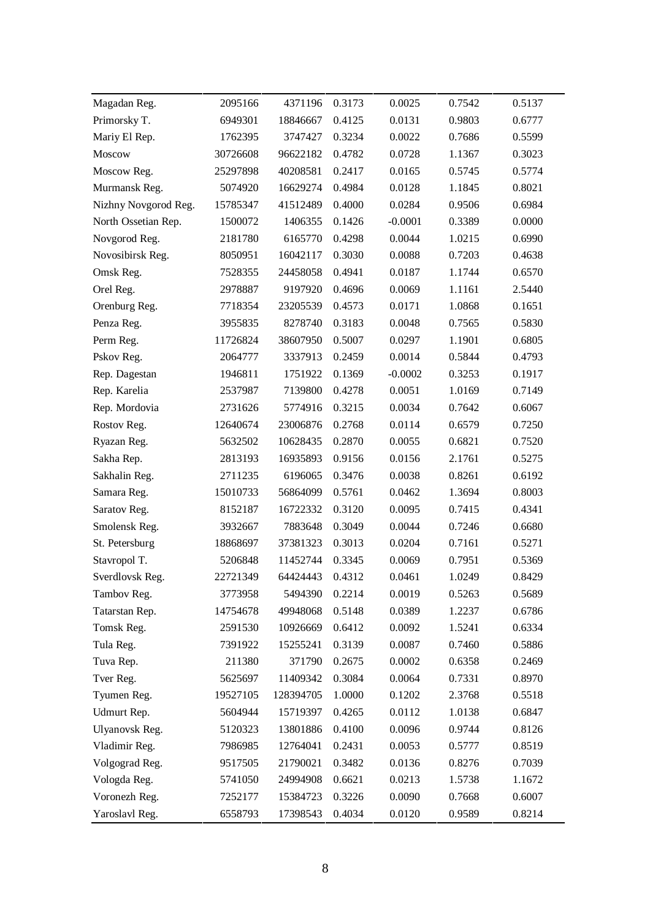| Magadan Reg.         | 2095166  | 4371196         | 0.3173 | 0.0025    | 0.7542 | 0.5137 |
|----------------------|----------|-----------------|--------|-----------|--------|--------|
| Primorsky T.         | 6949301  | 18846667        | 0.4125 | 0.0131    | 0.9803 | 0.6777 |
| Mariy El Rep.        | 1762395  | 3747427         | 0.3234 | 0.0022    | 0.7686 | 0.5599 |
| Moscow               | 30726608 | 96622182        | 0.4782 | 0.0728    | 1.1367 | 0.3023 |
| Moscow Reg.          | 25297898 | 40208581        | 0.2417 | 0.0165    | 0.5745 | 0.5774 |
| Murmansk Reg.        | 5074920  | 16629274        | 0.4984 | 0.0128    | 1.1845 | 0.8021 |
| Nizhny Novgorod Reg. | 15785347 | 41512489        | 0.4000 | 0.0284    | 0.9506 | 0.6984 |
| North Ossetian Rep.  | 1500072  | 1406355         | 0.1426 | $-0.0001$ | 0.3389 | 0.0000 |
| Novgorod Reg.        | 2181780  | 6165770         | 0.4298 | 0.0044    | 1.0215 | 0.6990 |
| Novosibirsk Reg.     | 8050951  | 16042117        | 0.3030 | 0.0088    | 0.7203 | 0.4638 |
| Omsk Reg.            | 7528355  | 24458058        | 0.4941 | 0.0187    | 1.1744 | 0.6570 |
| Orel Reg.            | 2978887  | 9197920         | 0.4696 | 0.0069    | 1.1161 | 2.5440 |
| Orenburg Reg.        | 7718354  | 23205539        | 0.4573 | 0.0171    | 1.0868 | 0.1651 |
| Penza Reg.           | 3955835  | 8278740         | 0.3183 | 0.0048    | 0.7565 | 0.5830 |
| Perm Reg.            | 11726824 | 38607950        | 0.5007 | 0.0297    | 1.1901 | 0.6805 |
| Pskov Reg.           | 2064777  | 3337913         | 0.2459 | 0.0014    | 0.5844 | 0.4793 |
| Rep. Dagestan        | 1946811  | 1751922         | 0.1369 | $-0.0002$ | 0.3253 | 0.1917 |
| Rep. Karelia         | 2537987  | 7139800         | 0.4278 | 0.0051    | 1.0169 | 0.7149 |
| Rep. Mordovia        | 2731626  | 5774916         | 0.3215 | 0.0034    | 0.7642 | 0.6067 |
| Rostov Reg.          | 12640674 | 23006876        | 0.2768 | 0.0114    | 0.6579 | 0.7250 |
| Ryazan Reg.          | 5632502  | 10628435        | 0.2870 | 0.0055    | 0.6821 | 0.7520 |
| Sakha Rep.           | 2813193  | 16935893        | 0.9156 | 0.0156    | 2.1761 | 0.5275 |
| Sakhalin Reg.        | 2711235  | 6196065         | 0.3476 | 0.0038    | 0.8261 | 0.6192 |
| Samara Reg.          | 15010733 | 56864099        | 0.5761 | 0.0462    | 1.3694 | 0.8003 |
| Saratov Reg.         | 8152187  | 16722332        | 0.3120 | 0.0095    | 0.7415 | 0.4341 |
| Smolensk Reg.        | 3932667  | 7883648         | 0.3049 | 0.0044    | 0.7246 | 0.6680 |
| St. Petersburg       | 18868697 | 37381323        | 0.3013 | 0.0204    | 0.7161 | 0.5271 |
| Stavropol T.         | 5206848  | 11452744        | 0.3345 | 0.0069    | 0.7951 | 0.5369 |
| Sverdlovsk Reg.      | 22721349 | 64424443 0.4312 |        | 0.0461    | 1.0249 | 0.8429 |
| Tambov Reg.          | 3773958  | 5494390         | 0.2214 | 0.0019    | 0.5263 | 0.5689 |
| Tatarstan Rep.       | 14754678 | 49948068        | 0.5148 | 0.0389    | 1.2237 | 0.6786 |
| Tomsk Reg.           | 2591530  | 10926669        | 0.6412 | 0.0092    | 1.5241 | 0.6334 |
| Tula Reg.            | 7391922  | 15255241        | 0.3139 | 0.0087    | 0.7460 | 0.5886 |
| Tuva Rep.            | 211380   | 371790          | 0.2675 | 0.0002    | 0.6358 | 0.2469 |
| Tver Reg.            | 5625697  | 11409342        | 0.3084 | 0.0064    | 0.7331 | 0.8970 |
| Tyumen Reg.          | 19527105 | 128394705       | 1.0000 | 0.1202    | 2.3768 | 0.5518 |
| Udmurt Rep.          | 5604944  | 15719397        | 0.4265 | 0.0112    | 1.0138 | 0.6847 |
| Ulyanovsk Reg.       | 5120323  | 13801886        | 0.4100 | 0.0096    | 0.9744 | 0.8126 |
| Vladimir Reg.        | 7986985  | 12764041        | 0.2431 | 0.0053    | 0.5777 | 0.8519 |
| Volgograd Reg.       | 9517505  | 21790021        | 0.3482 | 0.0136    | 0.8276 | 0.7039 |
| Vologda Reg.         | 5741050  | 24994908        | 0.6621 | 0.0213    | 1.5738 | 1.1672 |
| Voronezh Reg.        | 7252177  | 15384723        | 0.3226 | 0.0090    | 0.7668 | 0.6007 |
| Yaroslavl Reg.       | 6558793  | 17398543        | 0.4034 | 0.0120    | 0.9589 | 0.8214 |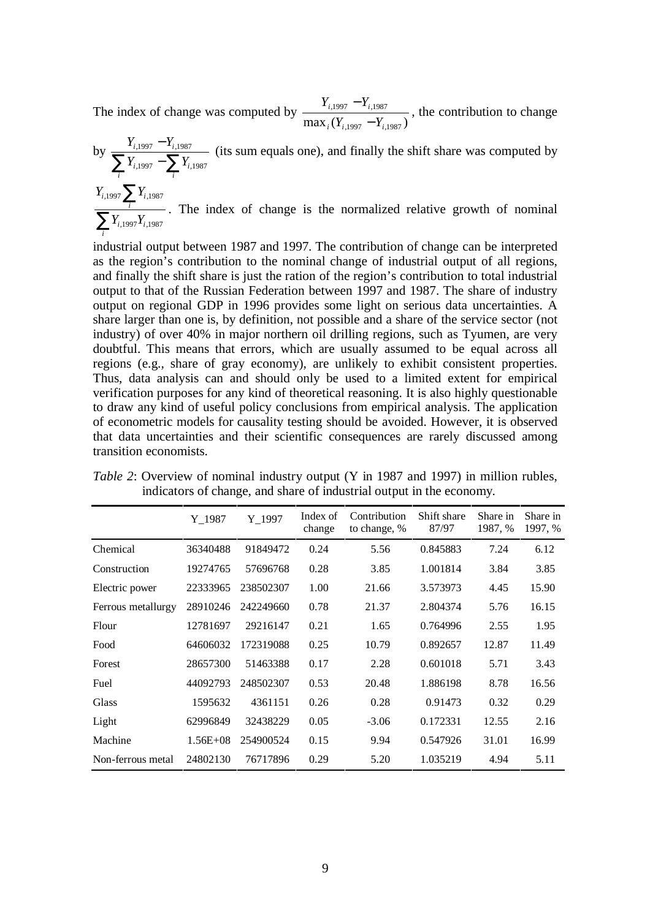The index of change was computed by  $\max_i (Y_{i,1997} - Y_{i,1987})$  $,1997$   $\qquad i,1987$  $i \cdot i$ ,1997  $i$  $i,1997$   $\frac{1}{i}$  $Y_{i,1997} - Y_{i}$  $Y_{i,1997} - Y$ −  $\frac{-Y_{i,1987}}{Y}$ , the contribution to change

by 
$$
\frac{Y_{i,1997} - Y_{i,1987}}{\sum_{i} Y_{i,1997} - \sum_{i} Y_{i,1987}}
$$
 (its sum equals one), and finally the shift share was computed by\n
$$
\frac{Y_{i,1997} \sum_{i} Y_{i,1987}}{\sum_{i} Y_{i,1997} Y_{i,1987}}
$$
. The index of change is the normalized relative growth of nominal

*i* industrial output between 1987 and 1997. The contribution of change can be interpreted as the region's contribution to the nominal change of industrial output of all regions, and finally the shift share is just the ration of the region's contribution to total industrial output to that of the Russian Federation between 1997 and 1987. The share of industry output on regional GDP in 1996 provides some light on serious data uncertainties. A share larger than one is, by definition, not possible and a share of the service sector (not industry) of over 40% in major northern oil drilling regions, such as Tyumen, are very doubtful. This means that errors, which are usually assumed to be equal across all regions (e.g., share of gray economy), are unlikely to exhibit consistent properties. Thus, data analysis can and should only be used to a limited extent for empirical verification purposes for any kind of theoretical reasoning. It is also highly questionable to draw any kind of useful policy conclusions from empirical analysis. The application of econometric models for causality testing should be avoided. However, it is observed that data uncertainties and their scientific consequences are rarely discussed among transition economists.

|                    | Y 1987       | Y 1997    | Index of<br>change | Contribution<br>to change, % | Shift share<br>87/97 | Share in<br>1987, % | Share in<br>1997, % |
|--------------------|--------------|-----------|--------------------|------------------------------|----------------------|---------------------|---------------------|
| Chemical           | 36340488     | 91849472  | 0.24               | 5.56                         | 0.845883             | 7.24                | 6.12                |
| Construction       | 19274765     | 57696768  | 0.28               | 3.85                         | 1.001814             | 3.84                | 3.85                |
| Electric power     | 22333965     | 238502307 | 1.00               | 21.66                        | 3.573973             | 4.45                | 15.90               |
| Ferrous metallurgy | 28910246     | 242249660 | 0.78               | 21.37                        | 2.804374             | 5.76                | 16.15               |
| Flour              | 12781697     | 29216147  | 0.21               | 1.65                         | 0.764996             | 2.55                | 1.95                |
| Food               | 64606032     | 172319088 | 0.25               | 10.79                        | 0.892657             | 12.87               | 11.49               |
| Forest             | 28657300     | 51463388  | 0.17               | 2.28                         | 0.601018             | 5.71                | 3.43                |
| Fuel               | 44092793     | 248502307 | 0.53               | 20.48                        | 1.886198             | 8.78                | 16.56               |
| Glass              | 1595632      | 4361151   | 0.26               | 0.28                         | 0.91473              | 0.32                | 0.29                |
| Light              | 62996849     | 32438229  | 0.05               | $-3.06$                      | 0.172331             | 12.55               | 2.16                |
| Machine            | $1.56E + 08$ | 254900524 | 0.15               | 9.94                         | 0.547926             | 31.01               | 16.99               |
| Non-ferrous metal  | 24802130     | 76717896  | 0.29               | 5.20                         | 1.035219             | 4.94                | 5.11                |

*Table 2*: Overview of nominal industry output (Y in 1987 and 1997) in million rubles, indicators of change, and share of industrial output in the economy.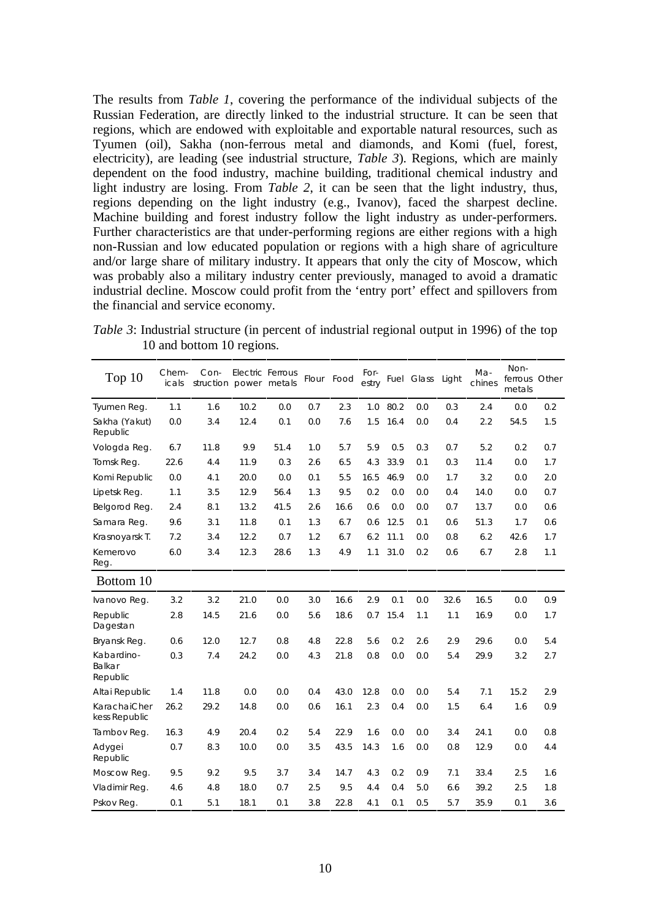The results from *Table 1*, covering the performance of the individual subjects of the Russian Federation, are directly linked to the industrial structure. It can be seen that regions, which are endowed with exploitable and exportable natural resources, such as Tyumen (oil), Sakha (non-ferrous metal and diamonds, and Komi (fuel, forest, electricity), are leading (see industrial structure, *Table 3*). Regions, which are mainly dependent on the food industry, machine building, traditional chemical industry and light industry are losing. From *Table 2*, it can be seen that the light industry, thus, regions depending on the light industry (e.g., Ivanov), faced the sharpest decline. Machine building and forest industry follow the light industry as under-performers. Further characteristics are that under-performing regions are either regions with a high non-Russian and low educated population or regions with a high share of agriculture and/or large share of military industry. It appears that only the city of Moscow, which was probably also a military industry center previously, managed to avoid a dramatic industrial decline. Moscow could profit from the 'entry port' effect and spillovers from the financial and service economy.

*Table 3*: Industrial structure (in percent of industrial regional output in 1996) of the top 10 and bottom 10 regions.

| Top $10$                         | Chem-<br>icals | Con-<br>struction power metals |      | <b>Electric Ferrous</b> |     | Flour Food | For-<br>estry |      | Fuel Glass | Light | Ma-<br>chines | Non-<br>ferrous<br>metals | Other |
|----------------------------------|----------------|--------------------------------|------|-------------------------|-----|------------|---------------|------|------------|-------|---------------|---------------------------|-------|
| Tyumen Reg.                      | 1.1            | 1.6                            | 10.2 | 0.0                     | 0.7 | 2.3        | 1.0           | 80.2 | 0.0        | 0.3   | 2.4           | 0.0                       | 0.2   |
| Sakha (Yakut)<br>Republic        | 0.0            | 3.4                            | 12.4 | 0.1                     | 0.0 | 7.6        | 1.5           | 16.4 | 0.0        | 0.4   | 2.2           | 54.5                      | 1.5   |
| Vologda Reg.                     | 6.7            | 11.8                           | 9.9  | 51.4                    | 1.0 | 5.7        | 5.9           | 0.5  | 0.3        | 0.7   | 5.2           | 0.2                       | 0.7   |
| Tomsk Reg.                       | 22.6           | 4.4                            | 11.9 | 0.3                     | 2.6 | 6.5        | 4.3           | 33.9 | 0.1        | 0.3   | 11.4          | 0.0                       | 1.7   |
| Komi Republic                    | 0.0            | 4.1                            | 20.0 | 0.0                     | 0.1 | 5.5        | 16.5          | 46.9 | 0.0        | 1.7   | 3.2           | 0.0                       | 2.0   |
| Lipetsk Reg.                     | 1.1            | 3.5                            | 12.9 | 56.4                    | 1.3 | 9.5        | 0.2           | 0.0  | 0.0        | 0.4   | 14.0          | 0.0                       | 0.7   |
| Belgorod Reg.                    | 2.4            | 8.1                            | 13.2 | 41.5                    | 2.6 | 16.6       | 0.6           | 0.0  | 0.0        | 0.7   | 13.7          | 0.0                       | 0.6   |
| Samara Reg.                      | 9.6            | 3.1                            | 11.8 | 0.1                     | 1.3 | 6.7        | 0.6           | 12.5 | 0.1        | 0.6   | 51.3          | 1.7                       | 0.6   |
| Krasnoyarsk T.                   | 7.2            | 3.4                            | 12.2 | 0.7                     | 1.2 | 6.7        | 6.2           | 11.1 | 0.0        | 0.8   | 6.2           | 42.6                      | 1.7   |
| Kemerovo<br>Reg.                 | 6.0            | 3.4                            | 12.3 | 28.6                    | 1.3 | 4.9        | 1.1           | 31.0 | 0.2        | 0.6   | 6.7           | 2.8                       | 1.1   |
| Bottom 10                        |                |                                |      |                         |     |            |               |      |            |       |               |                           |       |
| Ivanovo Reg.                     | 3.2            | 3.2                            | 21.0 | 0.0                     | 3.0 | 16.6       | 2.9           | 0.1  | 0.0        | 32.6  | 16.5          | 0.0                       | 0.9   |
| Republic<br>Dagestan             | 2.8            | 14.5                           | 21.6 | 0.0                     | 5.6 | 18.6       | 0.7           | 15.4 | 1.1        | 1.1   | 16.9          | 0.0                       | 1.7   |
| Bryansk Reg.                     | 0.6            | 12.0                           | 12.7 | 0.8                     | 4.8 | 22.8       | 5.6           | 0.2  | 2.6        | 2.9   | 29.6          | 0.0                       | 5.4   |
| Kabardino-<br>Balkar<br>Republic | 0.3            | 7.4                            | 24.2 | 0.0                     | 4.3 | 21.8       | 0.8           | 0.0  | 0.0        | 5.4   | 29.9          | 3.2                       | 2.7   |
| Altai Republic                   | 1.4            | 11.8                           | 0.0  | 0.0                     | 0.4 | 43.0       | 12.8          | 0.0  | 0.0        | 5.4   | 7.1           | 15.2                      | 2.9   |
| KarachaiCher<br>kess Republic    | 26.2           | 29.2                           | 14.8 | 0.0                     | 0.6 | 16.1       | 2.3           | 0.4  | 0.0        | 1.5   | 6.4           | 1.6                       | 0.9   |
| Tambov Req.                      | 16.3           | 4.9                            | 20.4 | 0.2                     | 5.4 | 22.9       | 1.6           | 0.0  | 0.0        | 3.4   | 24.1          | 0.0                       | 0.8   |
| Adygei<br>Republic               | 0.7            | 8.3                            | 10.0 | 0.0                     | 3.5 | 43.5       | 14.3          | 1.6  | 0.0        | 0.8   | 12.9          | 0.0                       | 4.4   |
| Moscow Reg.                      | 9.5            | 9.2                            | 9.5  | 3.7                     | 3.4 | 14.7       | 4.3           | 0.2  | 0.9        | 7.1   | 33.4          | 2.5                       | 1.6   |
| Vladimir Req.                    | 4.6            | 4.8                            | 18.0 | 0.7                     | 2.5 | 9.5        | 4.4           | 0.4  | 5.0        | 6.6   | 39.2          | 2.5                       | 1.8   |
| Pskov Reg.                       | 0.1            | 5.1                            | 18.1 | 0.1                     | 3.8 | 22.8       | 4.1           | 0.1  | 0.5        | 5.7   | 35.9          | 0.1                       | 3.6   |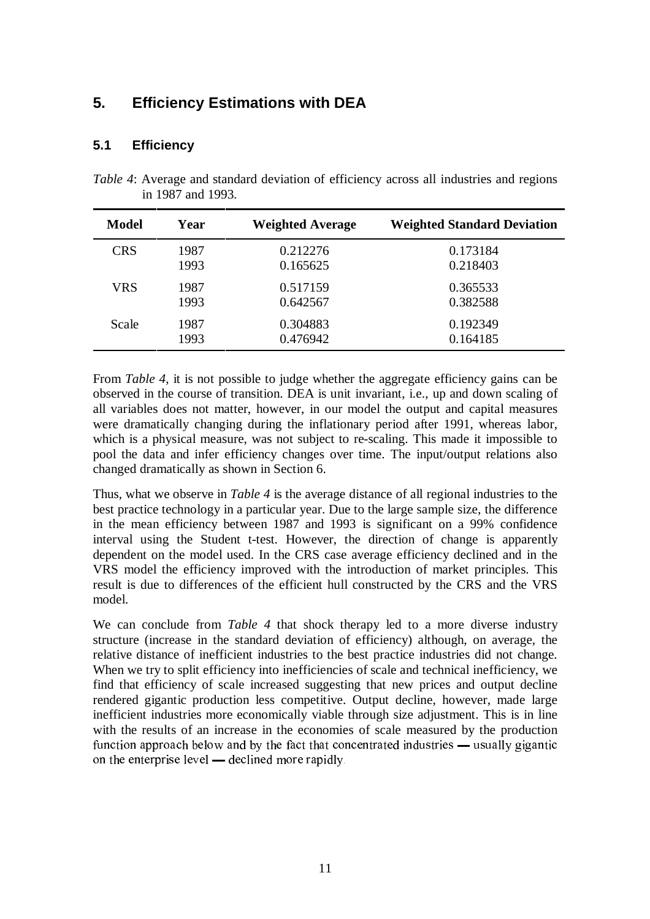# **5. Efficiency Estimations with DEA**

### **5.1 Efficiency**

| <i>Table 4:</i> Average and standard deviation of efficiency across all industries and regions |  |  |  |  |
|------------------------------------------------------------------------------------------------|--|--|--|--|
| in 1987 and 1993.                                                                              |  |  |  |  |

| Model      | Year | <b>Weighted Average</b> | <b>Weighted Standard Deviation</b> |
|------------|------|-------------------------|------------------------------------|
| <b>CRS</b> | 1987 | 0.212276                | 0.173184                           |
|            | 1993 | 0.165625                | 0.218403                           |
| <b>VRS</b> | 1987 | 0.517159                | 0.365533                           |
|            | 1993 | 0.642567                | 0.382588                           |
| Scale      | 1987 | 0.304883                | 0.192349                           |
|            | 1993 | 0.476942                | 0.164185                           |

From *Table 4*, it is not possible to judge whether the aggregate efficiency gains can be observed in the course of transition. DEA is unit invariant, i.e., up and down scaling of all variables does not matter, however, in our model the output and capital measures were dramatically changing during the inflationary period after 1991, whereas labor, which is a physical measure, was not subject to re-scaling. This made it impossible to pool the data and infer efficiency changes over time. The input/output relations also changed dramatically as shown in Section 6.

Thus, what we observe in *Table 4* is the average distance of all regional industries to the best practice technology in a particular year. Due to the large sample size, the difference in the mean efficiency between 1987 and 1993 is significant on a 99% confidence interval using the Student t-test. However, the direction of change is apparently dependent on the model used. In the CRS case average efficiency declined and in the VRS model the efficiency improved with the introduction of market principles. This result is due to differences of the efficient hull constructed by the CRS and the VRS model.

We can conclude from *Table 4* that shock therapy led to a more diverse industry structure (increase in the standard deviation of efficiency) although, on average, the relative distance of inefficient industries to the best practice industries did not change. When we try to split efficiency into inefficiencies of scale and technical inefficiency, we find that efficiency of scale increased suggesting that new prices and output decline rendered gigantic production less competitive. Output decline, however, made large inefficient industries more economically viable through size adjustment. This is in line with the results of an increase in the economies of scale measured by the production function approach below and by the fact that concentrated industries — usually gigantic on the enterprise level  $-$  declined more rapidly.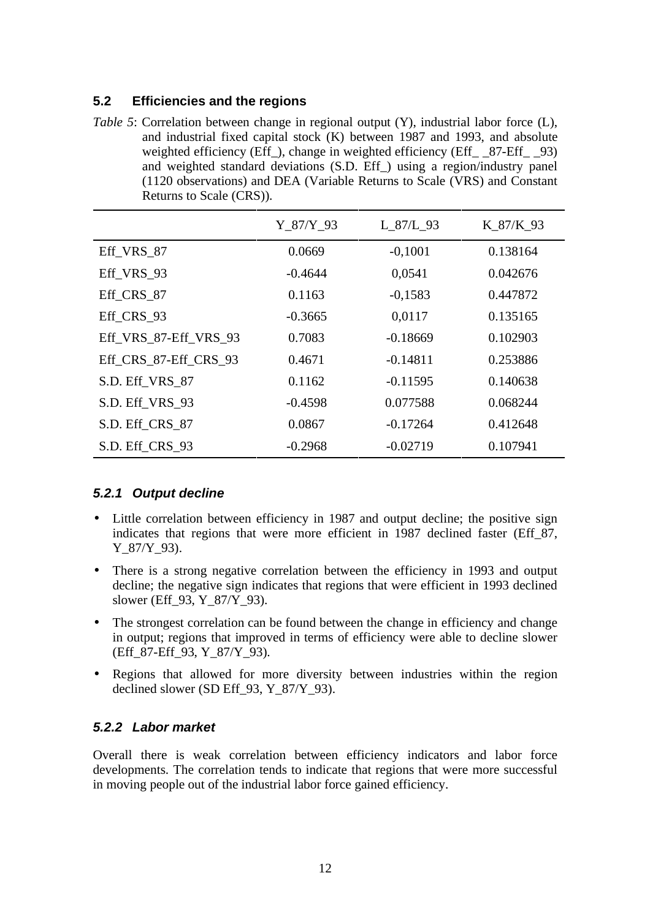### **5.2 Efficiencies and the regions**

*Table 5*: Correlation between change in regional output (Y), industrial labor force (L), and industrial fixed capital stock (K) between 1987 and 1993, and absolute weighted efficiency (Eff ), change in weighted efficiency (Eff  $\quad$  87-Eff  $\quad$  93) and weighted standard deviations (S.D. Eff\_) using a region/industry panel (1120 observations) and DEA (Variable Returns to Scale (VRS) and Constant Returns to Scale (CRS)).

|                       | Y 87/Y 93 | L 87/L 93  | K 87/K 93 |
|-----------------------|-----------|------------|-----------|
| Eff_VRS_87            | 0.0669    | $-0,1001$  | 0.138164  |
| Eff VRS 93            | $-0.4644$ | 0,0541     | 0.042676  |
| Eff CRS 87            | 0.1163    | $-0,1583$  | 0.447872  |
| Eff CRS 93            | $-0.3665$ | 0,0117     | 0.135165  |
| Eff_VRS_87-Eff_VRS_93 | 0.7083    | $-0.18669$ | 0.102903  |
| Eff_CRS_87-Eff_CRS_93 | 0.4671    | $-0.14811$ | 0.253886  |
| S.D. Eff_VRS_87       | 0.1162    | $-0.11595$ | 0.140638  |
| S.D. Eff_VRS_93       | $-0.4598$ | 0.077588   | 0.068244  |
| S.D. Eff_CRS_87       | 0.0867    | $-0.17264$ | 0.412648  |
| S.D. Eff_CRS_93       | $-0.2968$ | $-0.02719$ | 0.107941  |

### **5.2.1 Output decline**

- Little correlation between efficiency in 1987 and output decline; the positive sign indicates that regions that were more efficient in 1987 declined faster (Eff 87, Y 87/Y 93).
- There is a strong negative correlation between the efficiency in 1993 and output decline; the negative sign indicates that regions that were efficient in 1993 declined slower (Eff\_93, Y\_87/Y\_93).
- The strongest correlation can be found between the change in efficiency and change in output; regions that improved in terms of efficiency were able to decline slower (Eff\_87-Eff\_93, Y\_87/Y\_93).
- Regions that allowed for more diversity between industries within the region declined slower (SD Eff\_93, Y\_87/Y\_93).

### **5.2.2 Labor market**

Overall there is weak correlation between efficiency indicators and labor force developments. The correlation tends to indicate that regions that were more successful in moving people out of the industrial labor force gained efficiency.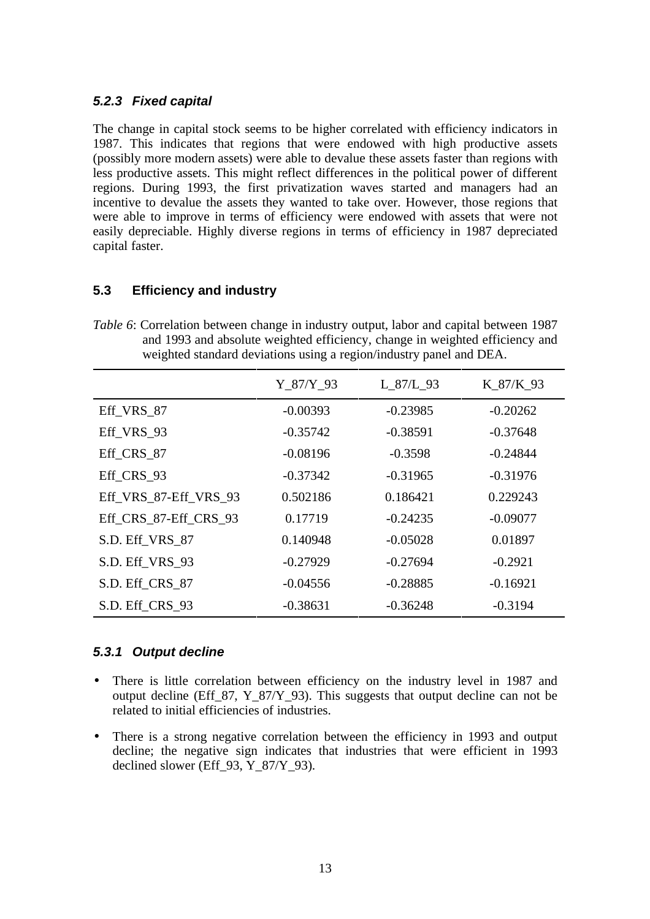#### **5.2.3 Fixed capital**

The change in capital stock seems to be higher correlated with efficiency indicators in 1987. This indicates that regions that were endowed with high productive assets (possibly more modern assets) were able to devalue these assets faster than regions with less productive assets. This might reflect differences in the political power of different regions. During 1993, the first privatization waves started and managers had an incentive to devalue the assets they wanted to take over. However, those regions that were able to improve in terms of efficiency were endowed with assets that were not easily depreciable. Highly diverse regions in terms of efficiency in 1987 depreciated capital faster.

### **5.3 Efficiency and industry**

*Table 6*: Correlation between change in industry output, labor and capital between 1987 and 1993 and absolute weighted efficiency, change in weighted efficiency and weighted standard deviations using a region/industry panel and DEA.

|                       | Y 87/Y 93  | L_87/L_93  | K 87/K 93  |
|-----------------------|------------|------------|------------|
| Eff VRS 87            | $-0.00393$ | $-0.23985$ | $-0.20262$ |
| Eff VRS 93            | $-0.35742$ | $-0.38591$ | $-0.37648$ |
| Eff CRS 87            | $-0.08196$ | $-0.3598$  | $-0.24844$ |
| Eff CRS 93            | $-0.37342$ | $-0.31965$ | $-0.31976$ |
| Eff VRS 87-Eff VRS 93 | 0.502186   | 0.186421   | 0.229243   |
| Eff_CRS_87-Eff_CRS_93 | 0.17719    | $-0.24235$ | $-0.09077$ |
| S.D. Eff_VRS_87       | 0.140948   | $-0.05028$ | 0.01897    |
| S.D. Eff_VRS_93       | $-0.27929$ | $-0.27694$ | $-0.2921$  |
| S.D. Eff_CRS_87       | $-0.04556$ | $-0.28885$ | $-0.16921$ |
| S.D. Eff_CRS_93       | $-0.38631$ | $-0.36248$ | $-0.3194$  |

#### **5.3.1 Output decline**

- There is little correlation between efficiency on the industry level in 1987 and output decline (Eff  $87, Y_87/Y_93$ ). This suggests that output decline can not be related to initial efficiencies of industries.
- There is a strong negative correlation between the efficiency in 1993 and output decline; the negative sign indicates that industries that were efficient in 1993 declined slower (Eff\_93, Y\_87/Y\_93).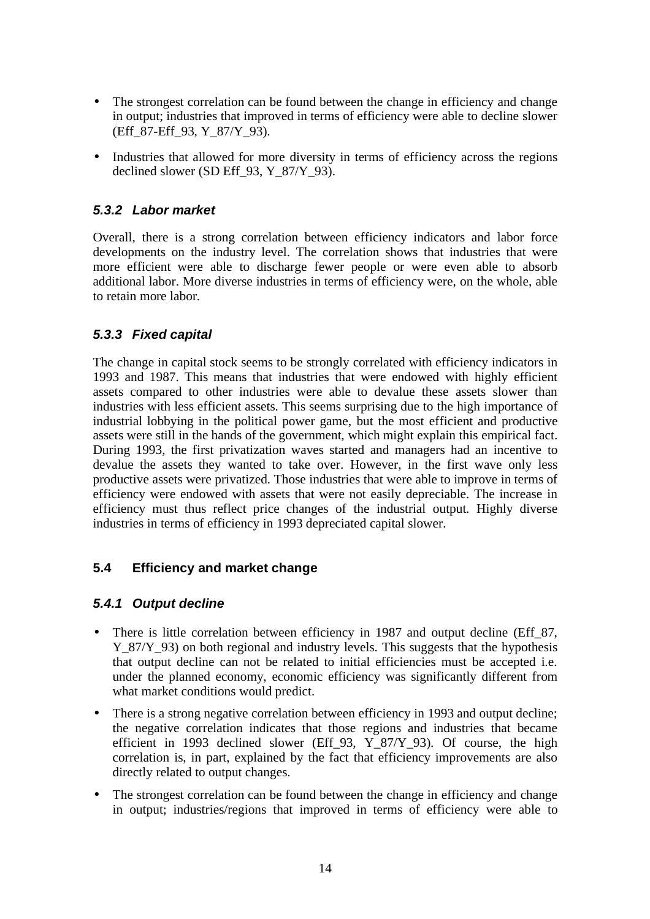- The strongest correlation can be found between the change in efficiency and change in output; industries that improved in terms of efficiency were able to decline slower (Eff\_87-Eff\_93, Y\_87/Y\_93).
- Industries that allowed for more diversity in terms of efficiency across the regions declined slower (SD Eff  $93, Y_87/Y_93$ ).

### **5.3.2 Labor market**

Overall, there is a strong correlation between efficiency indicators and labor force developments on the industry level. The correlation shows that industries that were more efficient were able to discharge fewer people or were even able to absorb additional labor. More diverse industries in terms of efficiency were, on the whole, able to retain more labor.

### **5.3.3 Fixed capital**

The change in capital stock seems to be strongly correlated with efficiency indicators in 1993 and 1987. This means that industries that were endowed with highly efficient assets compared to other industries were able to devalue these assets slower than industries with less efficient assets. This seems surprising due to the high importance of industrial lobbying in the political power game, but the most efficient and productive assets were still in the hands of the government, which might explain this empirical fact. During 1993, the first privatization waves started and managers had an incentive to devalue the assets they wanted to take over. However, in the first wave only less productive assets were privatized. Those industries that were able to improve in terms of efficiency were endowed with assets that were not easily depreciable. The increase in efficiency must thus reflect price changes of the industrial output. Highly diverse industries in terms of efficiency in 1993 depreciated capital slower.

### **5.4 Efficiency and market change**

### **5.4.1 Output decline**

- There is little correlation between efficiency in 1987 and output decline (Eff\_87, Y\_87/Y\_93) on both regional and industry levels. This suggests that the hypothesis that output decline can not be related to initial efficiencies must be accepted i.e. under the planned economy, economic efficiency was significantly different from what market conditions would predict.
- There is a strong negative correlation between efficiency in 1993 and output decline; the negative correlation indicates that those regions and industries that became efficient in 1993 declined slower (Eff\_93,  $Y_87/Y_93$ ). Of course, the high correlation is, in part, explained by the fact that efficiency improvements are also directly related to output changes.
- The strongest correlation can be found between the change in efficiency and change in output; industries/regions that improved in terms of efficiency were able to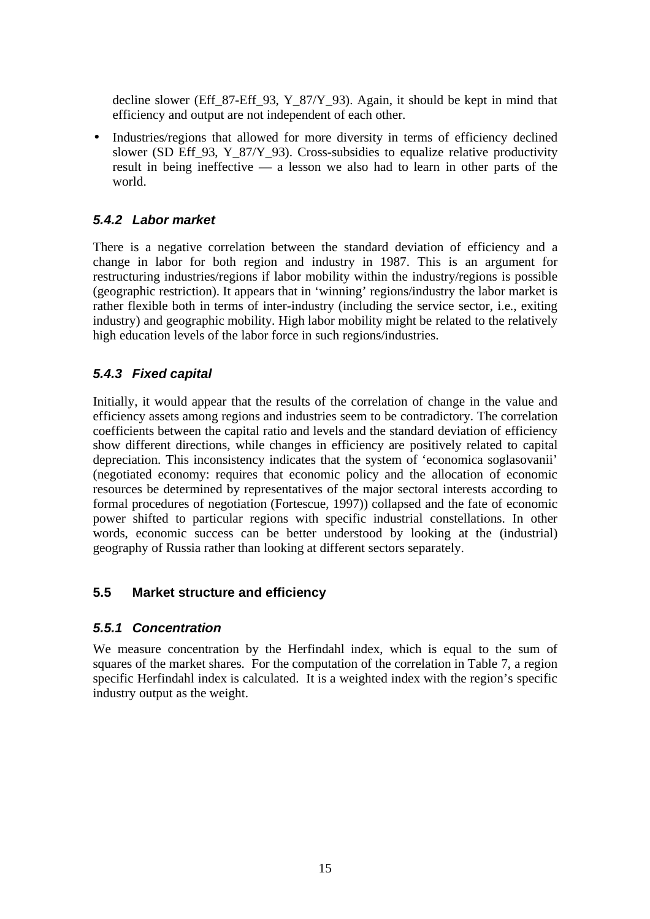decline slower (Eff\_87-Eff\_93, Y\_87/Y\_93). Again, it should be kept in mind that efficiency and output are not independent of each other.

• Industries/regions that allowed for more diversity in terms of efficiency declined slower (SD Eff 93, Y 87/Y 93). Cross-subsidies to equalize relative productivity result in being ineffective — a lesson we also had to learn in other parts of the world.

### **5.4.2 Labor market**

There is a negative correlation between the standard deviation of efficiency and a change in labor for both region and industry in 1987. This is an argument for restructuring industries/regions if labor mobility within the industry/regions is possible (geographic restriction). It appears that in 'winning' regions/industry the labor market is rather flexible both in terms of inter-industry (including the service sector, i.e., exiting industry) and geographic mobility. High labor mobility might be related to the relatively high education levels of the labor force in such regions/industries.

### **5.4.3 Fixed capital**

Initially, it would appear that the results of the correlation of change in the value and efficiency assets among regions and industries seem to be contradictory. The correlation coefficients between the capital ratio and levels and the standard deviation of efficiency show different directions, while changes in efficiency are positively related to capital depreciation. This inconsistency indicates that the system of 'economica soglasovanii' (negotiated economy: requires that economic policy and the allocation of economic resources be determined by representatives of the major sectoral interests according to formal procedures of negotiation (Fortescue, 1997)) collapsed and the fate of economic power shifted to particular regions with specific industrial constellations. In other words, economic success can be better understood by looking at the (industrial) geography of Russia rather than looking at different sectors separately.

### **5.5 Market structure and efficiency**

### **5.5.1 Concentration**

We measure concentration by the Herfindahl index, which is equal to the sum of squares of the market shares. For the computation of the correlation in Table 7, a region specific Herfindahl index is calculated. It is a weighted index with the region's specific industry output as the weight.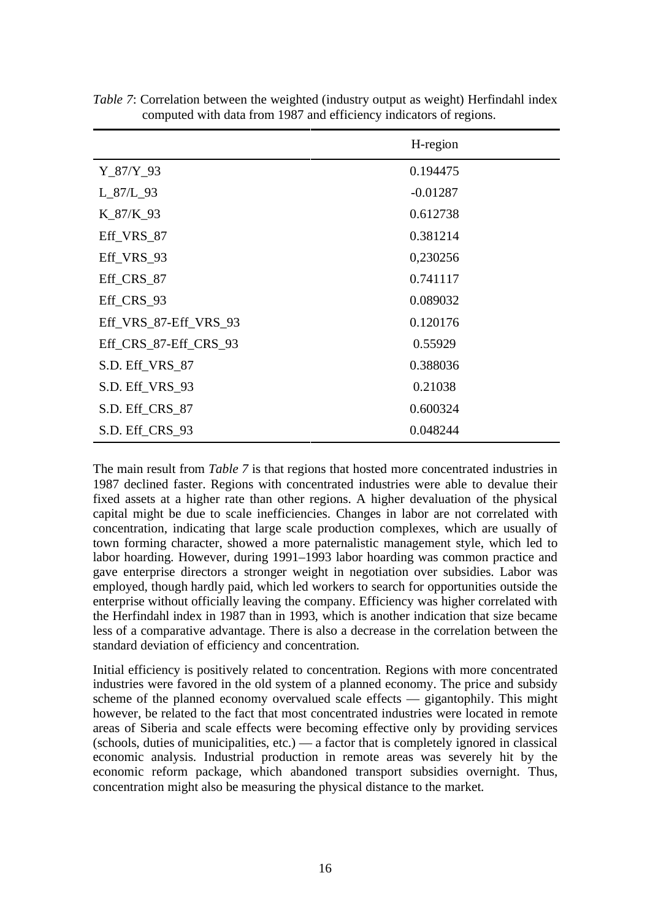|                       | H-region   |
|-----------------------|------------|
| $Y_87/Y_93$           | 0.194475   |
| $L_87/L_93$           | $-0.01287$ |
| $K_87/K_93$           | 0.612738   |
| Eff_VRS_87            | 0.381214   |
| Eff_VRS_93            | 0,230256   |
| Eff_CRS_87            | 0.741117   |
| Eff_CRS_93            | 0.089032   |
| Eff_VRS_87-Eff_VRS_93 | 0.120176   |
| Eff_CRS_87-Eff_CRS_93 | 0.55929    |
| S.D. Eff_VRS_87       | 0.388036   |
| S.D. Eff_VRS_93       | 0.21038    |
| S.D. Eff_CRS_87       | 0.600324   |
| S.D. Eff_CRS_93       | 0.048244   |

*Table 7*: Correlation between the weighted (industry output as weight) Herfindahl index computed with data from 1987 and efficiency indicators of regions.

The main result from *Table 7* is that regions that hosted more concentrated industries in 1987 declined faster. Regions with concentrated industries were able to devalue their fixed assets at a higher rate than other regions. A higher devaluation of the physical capital might be due to scale inefficiencies. Changes in labor are not correlated with concentration, indicating that large scale production complexes, which are usually of town forming character, showed a more paternalistic management style, which led to labor hoarding. However, during 1991–1993 labor hoarding was common practice and gave enterprise directors a stronger weight in negotiation over subsidies. Labor was employed, though hardly paid, which led workers to search for opportunities outside the enterprise without officially leaving the company. Efficiency was higher correlated with the Herfindahl index in 1987 than in 1993, which is another indication that size became less of a comparative advantage. There is also a decrease in the correlation between the standard deviation of efficiency and concentration.

Initial efficiency is positively related to concentration. Regions with more concentrated industries were favored in the old system of a planned economy. The price and subsidy scheme of the planned economy overvalued scale effects — gigantophily. This might however, be related to the fact that most concentrated industries were located in remote areas of Siberia and scale effects were becoming effective only by providing services (schools, duties of municipalities, etc.) — a factor that is completely ignored in classical economic analysis. Industrial production in remote areas was severely hit by the economic reform package, which abandoned transport subsidies overnight. Thus, concentration might also be measuring the physical distance to the market.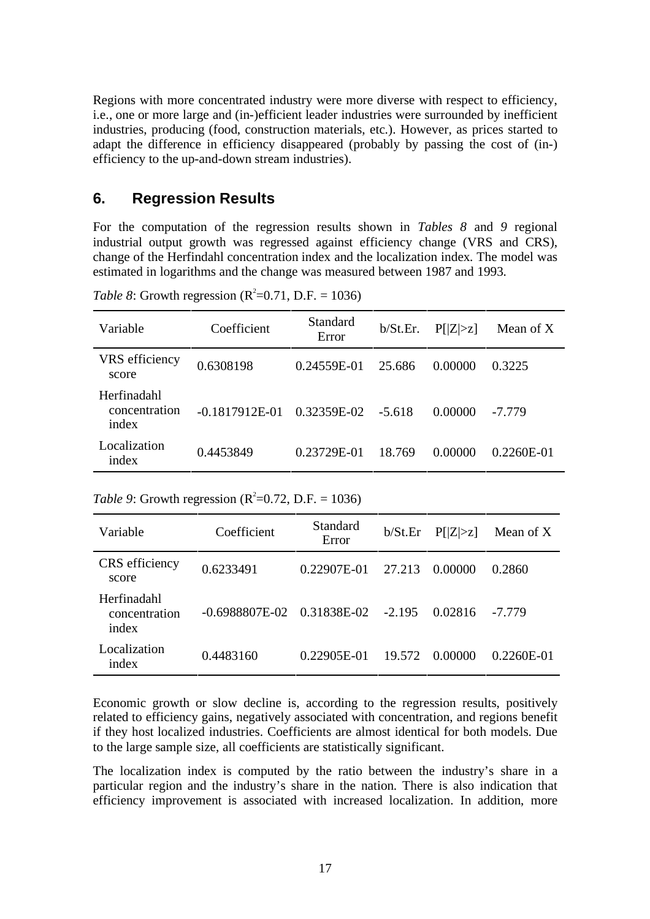Regions with more concentrated industry were more diverse with respect to efficiency, i.e., one or more large and (in-)efficient leader industries were surrounded by inefficient industries, producing (food, construction materials, etc.). However, as prices started to adapt the difference in efficiency disappeared (probably by passing the cost of (in-) efficiency to the up-and-down stream industries).

### **6. Regression Results**

For the computation of the regression results shown in *Tables 8* and *9* regional industrial output growth was regressed against efficiency change (VRS and CRS), change of the Herfindahl concentration index and the localization index. The model was estimated in logarithms and the change was measured between 1987 and 1993.

*Table 8*: Growth regression ( $R^2 = 0.71$ , D.F. = 1036)

| Variable                              | Coefficient      | Standard<br>Error | b/St.Er. | P[ Z >z] | Mean of X    |
|---------------------------------------|------------------|-------------------|----------|----------|--------------|
| VRS efficiency<br>score               | 0.6308198        | $0.24559E-01$     | 25.686   | 0.00000  | 0.3225       |
| Herfinadahl<br>concentration<br>index | $-0.1817912E-01$ | 0.32359E-02       | $-5.618$ | 0.00000  | $-7.779$     |
| Localization<br>index                 | 0.4453849        | 0.23729E-01       | 18.769   | 0.00000  | $0.2260E-01$ |

*Table 9*: Growth regression ( $R^2 = 0.72$ , D.F. = 1036)

| Variable                              | Coefficient    | Standard<br>Error | b/St.Er  | P[ Z >z] | Mean of $X$  |
|---------------------------------------|----------------|-------------------|----------|----------|--------------|
| CRS efficiency<br>score               | 0.6233491      | 0.22907E-01       | 27.213   | 0.00000  | 0.2860       |
| Herfinadahl<br>concentration<br>index | -0.6988807E-02 | 0.31838E-02       | $-2.195$ | 0.02816  | -7.779       |
| Localization<br>index                 | 0.4483160      | 0.22905E-01       | 19.572   | 0.00000  | $0.2260E-01$ |

Economic growth or slow decline is, according to the regression results, positively related to efficiency gains, negatively associated with concentration, and regions benefit if they host localized industries. Coefficients are almost identical for both models. Due to the large sample size, all coefficients are statistically significant.

The localization index is computed by the ratio between the industry's share in a particular region and the industry's share in the nation. There is also indication that efficiency improvement is associated with increased localization. In addition, more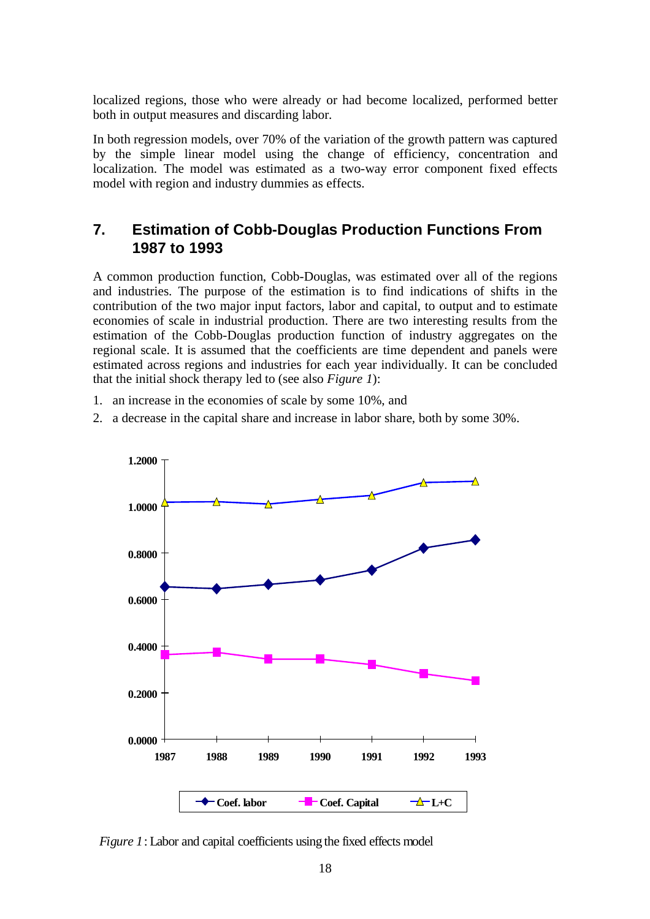localized regions, those who were already or had become localized, performed better both in output measures and discarding labor.

In both regression models, over 70% of the variation of the growth pattern was captured by the simple linear model using the change of efficiency, concentration and localization. The model was estimated as a two-way error component fixed effects model with region and industry dummies as effects.

# **7. Estimation of Cobb-Douglas Production Functions From 1987 to 1993**

A common production function, Cobb-Douglas, was estimated over all of the regions and industries. The purpose of the estimation is to find indications of shifts in the contribution of the two major input factors, labor and capital, to output and to estimate economies of scale in industrial production. There are two interesting results from the estimation of the Cobb-Douglas production function of industry aggregates on the regional scale. It is assumed that the coefficients are time dependent and panels were estimated across regions and industries for each year individually. It can be concluded that the initial shock therapy led to (see also *Figure 1*):

- 1. an increase in the economies of scale by some 10%, and
- 2. a decrease in the capital share and increase in labor share, both by some 30%.



*Figure 1*: Labor and capital coefficients using the fixed effects model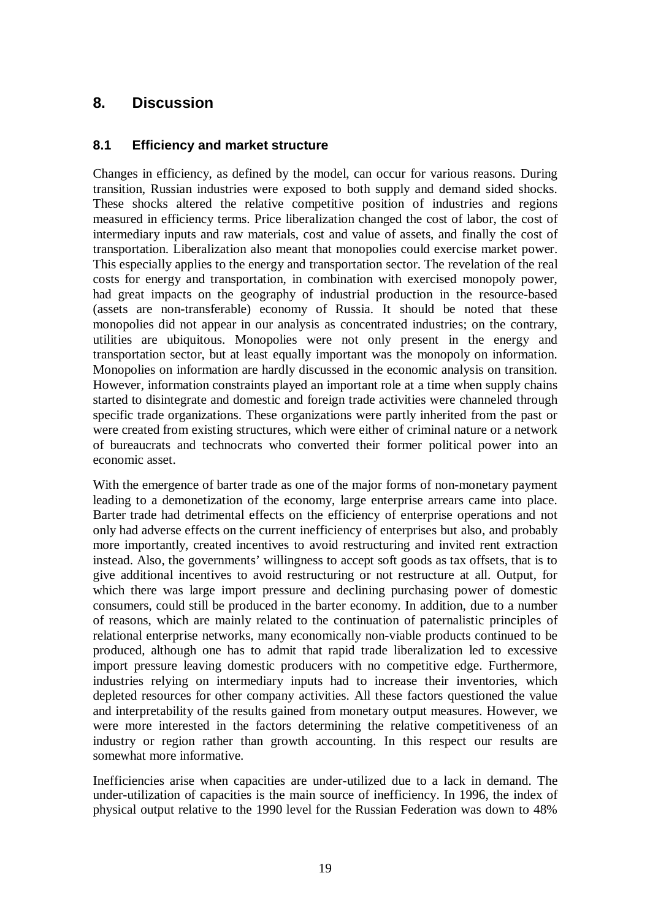# **8. Discussion**

### **8.1 Efficiency and market structure**

Changes in efficiency, as defined by the model, can occur for various reasons. During transition, Russian industries were exposed to both supply and demand sided shocks. These shocks altered the relative competitive position of industries and regions measured in efficiency terms. Price liberalization changed the cost of labor, the cost of intermediary inputs and raw materials, cost and value of assets, and finally the cost of transportation. Liberalization also meant that monopolies could exercise market power. This especially applies to the energy and transportation sector. The revelation of the real costs for energy and transportation, in combination with exercised monopoly power, had great impacts on the geography of industrial production in the resource-based (assets are non-transferable) economy of Russia. It should be noted that these monopolies did not appear in our analysis as concentrated industries; on the contrary, utilities are ubiquitous. Monopolies were not only present in the energy and transportation sector, but at least equally important was the monopoly on information. Monopolies on information are hardly discussed in the economic analysis on transition. However, information constraints played an important role at a time when supply chains started to disintegrate and domestic and foreign trade activities were channeled through specific trade organizations. These organizations were partly inherited from the past or were created from existing structures, which were either of criminal nature or a network of bureaucrats and technocrats who converted their former political power into an economic asset.

With the emergence of barter trade as one of the major forms of non-monetary payment leading to a demonetization of the economy, large enterprise arrears came into place. Barter trade had detrimental effects on the efficiency of enterprise operations and not only had adverse effects on the current inefficiency of enterprises but also, and probably more importantly, created incentives to avoid restructuring and invited rent extraction instead. Also, the governments' willingness to accept soft goods as tax offsets, that is to give additional incentives to avoid restructuring or not restructure at all. Output, for which there was large import pressure and declining purchasing power of domestic consumers, could still be produced in the barter economy. In addition, due to a number of reasons, which are mainly related to the continuation of paternalistic principles of relational enterprise networks, many economically non-viable products continued to be produced, although one has to admit that rapid trade liberalization led to excessive import pressure leaving domestic producers with no competitive edge. Furthermore, industries relying on intermediary inputs had to increase their inventories, which depleted resources for other company activities. All these factors questioned the value and interpretability of the results gained from monetary output measures. However, we were more interested in the factors determining the relative competitiveness of an industry or region rather than growth accounting. In this respect our results are somewhat more informative.

Inefficiencies arise when capacities are under-utilized due to a lack in demand. The under-utilization of capacities is the main source of inefficiency. In 1996, the index of physical output relative to the 1990 level for the Russian Federation was down to 48%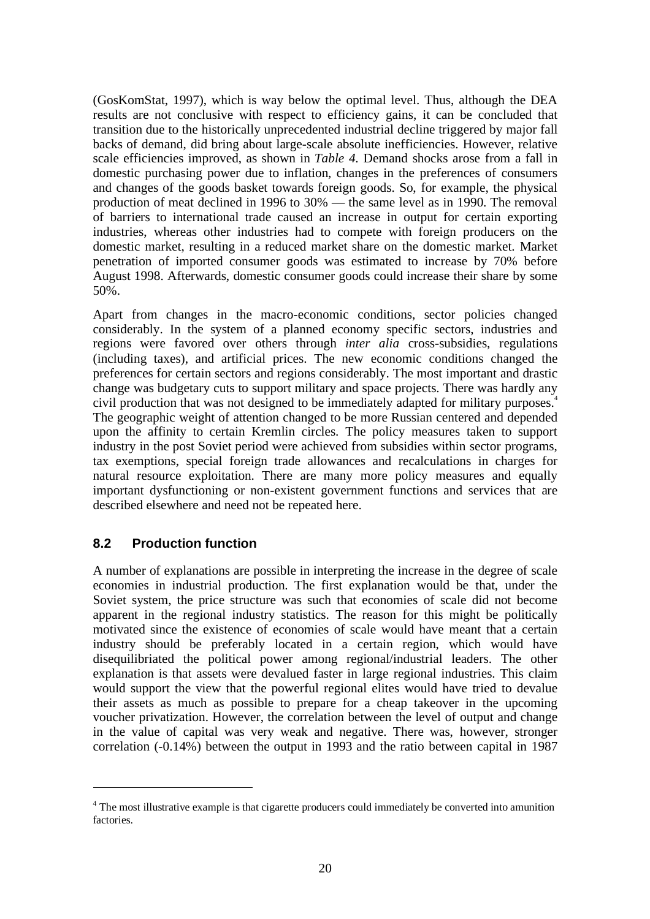(GosKomStat, 1997), which is way below the optimal level. Thus, although the DEA results are not conclusive with respect to efficiency gains, it can be concluded that transition due to the historically unprecedented industrial decline triggered by major fall backs of demand, did bring about large-scale absolute inefficiencies. However, relative scale efficiencies improved, as shown in *Table 4*. Demand shocks arose from a fall in domestic purchasing power due to inflation, changes in the preferences of consumers and changes of the goods basket towards foreign goods. So, for example, the physical production of meat declined in 1996 to 30% — the same level as in 1990. The removal of barriers to international trade caused an increase in output for certain exporting industries, whereas other industries had to compete with foreign producers on the domestic market, resulting in a reduced market share on the domestic market. Market penetration of imported consumer goods was estimated to increase by 70% before August 1998. Afterwards, domestic consumer goods could increase their share by some 50%.

Apart from changes in the macro-economic conditions, sector policies changed considerably. In the system of a planned economy specific sectors, industries and regions were favored over others through *inter alia* cross-subsidies, regulations (including taxes), and artificial prices. The new economic conditions changed the preferences for certain sectors and regions considerably. The most important and drastic change was budgetary cuts to support military and space projects. There was hardly any civil production that was not designed to be immediately adapted for military purposes.<sup>4</sup> The geographic weight of attention changed to be more Russian centered and depended upon the affinity to certain Kremlin circles. The policy measures taken to support industry in the post Soviet period were achieved from subsidies within sector programs, tax exemptions, special foreign trade allowances and recalculations in charges for natural resource exploitation. There are many more policy measures and equally important dysfunctioning or non-existent government functions and services that are described elsewhere and need not be repeated here.

### **8.2 Production function**

 $\overline{a}$ 

A number of explanations are possible in interpreting the increase in the degree of scale economies in industrial production. The first explanation would be that, under the Soviet system, the price structure was such that economies of scale did not become apparent in the regional industry statistics. The reason for this might be politically motivated since the existence of economies of scale would have meant that a certain industry should be preferably located in a certain region, which would have disequilibriated the political power among regional/industrial leaders. The other explanation is that assets were devalued faster in large regional industries. This claim would support the view that the powerful regional elites would have tried to devalue their assets as much as possible to prepare for a cheap takeover in the upcoming voucher privatization. However, the correlation between the level of output and change in the value of capital was very weak and negative. There was, however, stronger correlation (-0.14%) between the output in 1993 and the ratio between capital in 1987

<sup>&</sup>lt;sup>4</sup> The most illustrative example is that cigarette producers could immediately be converted into amunition factories.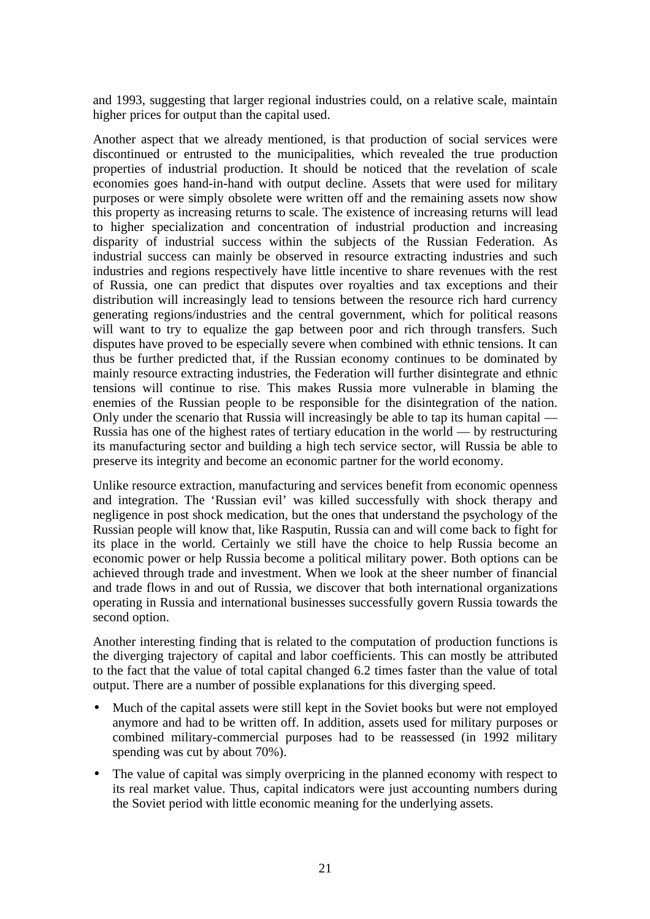and 1993, suggesting that larger regional industries could, on a relative scale, maintain higher prices for output than the capital used.

Another aspect that we already mentioned, is that production of social services were discontinued or entrusted to the municipalities, which revealed the true production properties of industrial production. It should be noticed that the revelation of scale economies goes hand-in-hand with output decline. Assets that were used for military purposes or were simply obsolete were written off and the remaining assets now show this property as increasing returns to scale. The existence of increasing returns will lead to higher specialization and concentration of industrial production and increasing disparity of industrial success within the subjects of the Russian Federation. As industrial success can mainly be observed in resource extracting industries and such industries and regions respectively have little incentive to share revenues with the rest of Russia, one can predict that disputes over royalties and tax exceptions and their distribution will increasingly lead to tensions between the resource rich hard currency generating regions/industries and the central government, which for political reasons will want to try to equalize the gap between poor and rich through transfers. Such disputes have proved to be especially severe when combined with ethnic tensions. It can thus be further predicted that, if the Russian economy continues to be dominated by mainly resource extracting industries, the Federation will further disintegrate and ethnic tensions will continue to rise. This makes Russia more vulnerable in blaming the enemies of the Russian people to be responsible for the disintegration of the nation. Only under the scenario that Russia will increasingly be able to tap its human capital — Russia has one of the highest rates of tertiary education in the world — by restructuring its manufacturing sector and building a high tech service sector, will Russia be able to preserve its integrity and become an economic partner for the world economy.

Unlike resource extraction, manufacturing and services benefit from economic openness and integration. The 'Russian evil' was killed successfully with shock therapy and negligence in post shock medication, but the ones that understand the psychology of the Russian people will know that, like Rasputin, Russia can and will come back to fight for its place in the world. Certainly we still have the choice to help Russia become an economic power or help Russia become a political military power. Both options can be achieved through trade and investment. When we look at the sheer number of financial and trade flows in and out of Russia, we discover that both international organizations operating in Russia and international businesses successfully govern Russia towards the second option.

Another interesting finding that is related to the computation of production functions is the diverging trajectory of capital and labor coefficients. This can mostly be attributed to the fact that the value of total capital changed 6.2 times faster than the value of total output. There are a number of possible explanations for this diverging speed.

- Much of the capital assets were still kept in the Soviet books but were not employed anymore and had to be written off. In addition, assets used for military purposes or combined military-commercial purposes had to be reassessed (in 1992 military spending was cut by about 70%).
- The value of capital was simply overpricing in the planned economy with respect to its real market value. Thus, capital indicators were just accounting numbers during the Soviet period with little economic meaning for the underlying assets.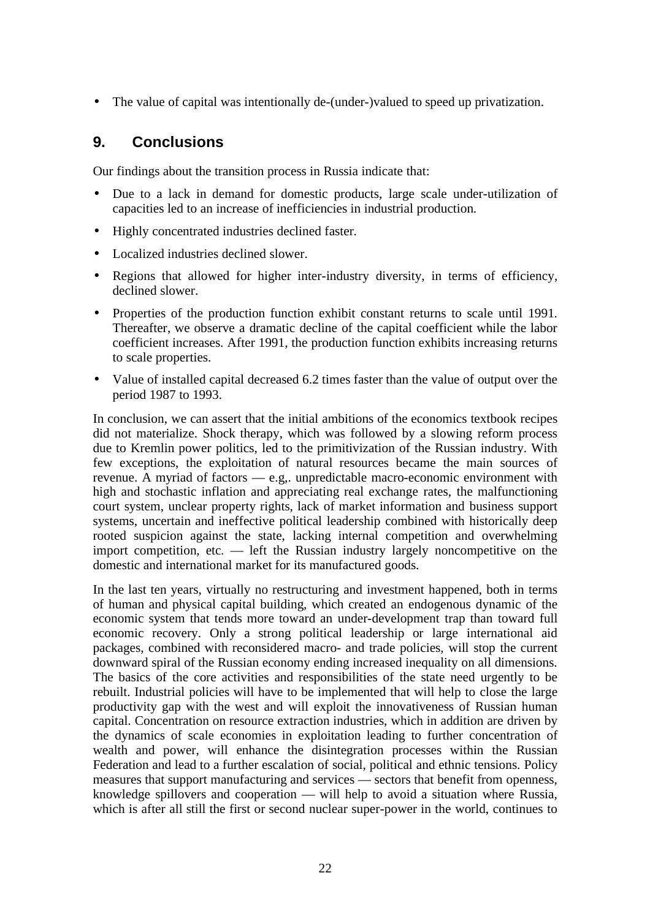• The value of capital was intentionally de-(under-)valued to speed up privatization.

# **9. Conclusions**

Our findings about the transition process in Russia indicate that:

- Due to a lack in demand for domestic products, large scale under-utilization of capacities led to an increase of inefficiencies in industrial production.
- Highly concentrated industries declined faster.
- Localized industries declined slower.
- Regions that allowed for higher inter-industry diversity, in terms of efficiency, declined slower.
- Properties of the production function exhibit constant returns to scale until 1991. Thereafter, we observe a dramatic decline of the capital coefficient while the labor coefficient increases. After 1991, the production function exhibits increasing returns to scale properties.
- Value of installed capital decreased 6.2 times faster than the value of output over the period 1987 to 1993.

In conclusion, we can assert that the initial ambitions of the economics textbook recipes did not materialize. Shock therapy, which was followed by a slowing reform process due to Kremlin power politics, led to the primitivization of the Russian industry. With few exceptions, the exploitation of natural resources became the main sources of revenue. A myriad of factors — e.g,. unpredictable macro-economic environment with high and stochastic inflation and appreciating real exchange rates, the malfunctioning court system, unclear property rights, lack of market information and business support systems, uncertain and ineffective political leadership combined with historically deep rooted suspicion against the state, lacking internal competition and overwhelming import competition, etc. — left the Russian industry largely noncompetitive on the domestic and international market for its manufactured goods.

In the last ten years, virtually no restructuring and investment happened, both in terms of human and physical capital building, which created an endogenous dynamic of the economic system that tends more toward an under-development trap than toward full economic recovery. Only a strong political leadership or large international aid packages, combined with reconsidered macro- and trade policies, will stop the current downward spiral of the Russian economy ending increased inequality on all dimensions. The basics of the core activities and responsibilities of the state need urgently to be rebuilt. Industrial policies will have to be implemented that will help to close the large productivity gap with the west and will exploit the innovativeness of Russian human capital. Concentration on resource extraction industries, which in addition are driven by the dynamics of scale economies in exploitation leading to further concentration of wealth and power, will enhance the disintegration processes within the Russian Federation and lead to a further escalation of social, political and ethnic tensions. Policy measures that support manufacturing and services — sectors that benefit from openness, knowledge spillovers and cooperation — will help to avoid a situation where Russia, which is after all still the first or second nuclear super-power in the world, continues to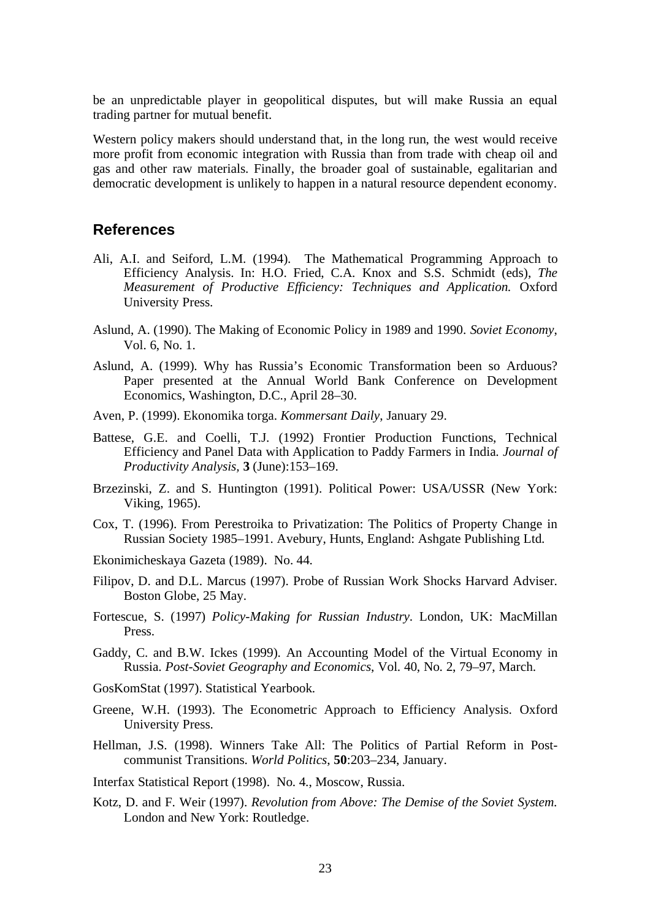be an unpredictable player in geopolitical disputes, but will make Russia an equal trading partner for mutual benefit.

Western policy makers should understand that, in the long run, the west would receive more profit from economic integration with Russia than from trade with cheap oil and gas and other raw materials. Finally, the broader goal of sustainable, egalitarian and democratic development is unlikely to happen in a natural resource dependent economy.

#### **References**

- Ali, A.I. and Seiford, L.M. (1994). The Mathematical Programming Approach to Efficiency Analysis. In: H.O. Fried, C.A. Knox and S.S. Schmidt (eds), *The Measurement of Productive Efficiency: Techniques and Application.* Oxford University Press.
- Aslund, A. (1990). The Making of Economic Policy in 1989 and 1990. *Soviet Economy*, Vol. 6, No. 1.
- Aslund, A. (1999). Why has Russia's Economic Transformation been so Arduous? Paper presented at the Annual World Bank Conference on Development Economics, Washington, D.C., April 28–30.
- Aven, P. (1999). Ekonomika torga. *Kommersant Daily*, January 29.
- Battese, G.E. and Coelli, T.J. (1992) Frontier Production Functions, Technical Efficiency and Panel Data with Application to Paddy Farmers in India. *Journal of Productivity Analysis,* **3** (June):153–169.
- Brzezinski, Z. and S. Huntington (1991). Political Power: USA/USSR (New York: Viking, 1965).
- Cox, T. (1996). From Perestroika to Privatization: The Politics of Property Change in Russian Society 1985–1991. Avebury, Hunts, England: Ashgate Publishing Ltd.
- Ekonimicheskaya Gazeta (1989). No. 44.
- Filipov, D. and D.L. Marcus (1997). Probe of Russian Work Shocks Harvard Adviser. Boston Globe, 25 May.
- Fortescue, S. (1997) *Policy-Making for Russian Industry*. London, UK: MacMillan Press.
- Gaddy, C. and B.W. Ickes (1999). An Accounting Model of the Virtual Economy in Russia. *Post-Soviet Geography and Economics*, Vol. 40, No. 2, 79–97, March.
- GosKomStat (1997). Statistical Yearbook.
- Greene, W.H. (1993). The Econometric Approach to Efficiency Analysis. Oxford University Press.
- Hellman, J.S. (1998). Winners Take All: The Politics of Partial Reform in Postcommunist Transitions. *World Politics*, **50**:203–234, January.

Interfax Statistical Report (1998). No. 4., Moscow, Russia.

Kotz, D. and F. Weir (1997). *Revolution from Above: The Demise of the Soviet System.* London and New York: Routledge.